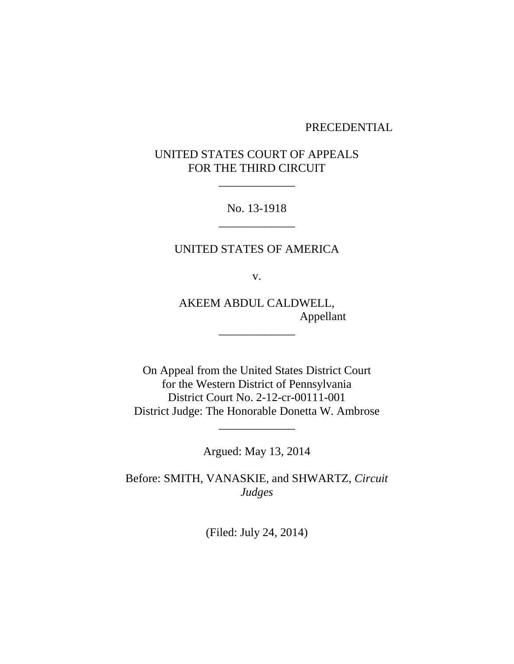#### PRECEDENTIAL

# UNITED STATES COURT OF APPEALS FOR THE THIRD CIRCUIT

\_\_\_\_\_\_\_\_\_\_\_\_\_

No. 13-1918 \_\_\_\_\_\_\_\_\_\_\_\_\_

## UNITED STATES OF AMERICA

v.

AKEEM ABDUL CALDWELL, Appellant

\_\_\_\_\_\_\_\_\_\_\_\_\_

On Appeal from the United States District Court for the Western District of Pennsylvania District Court No. 2-12-cr-00111-001 District Judge: The Honorable Donetta W. Ambrose

Argued: May 13, 2014

\_\_\_\_\_\_\_\_\_\_\_\_\_

Before: SMITH, VANASKIE, and SHWARTZ, *Circuit Judges*

(Filed: July 24, 2014)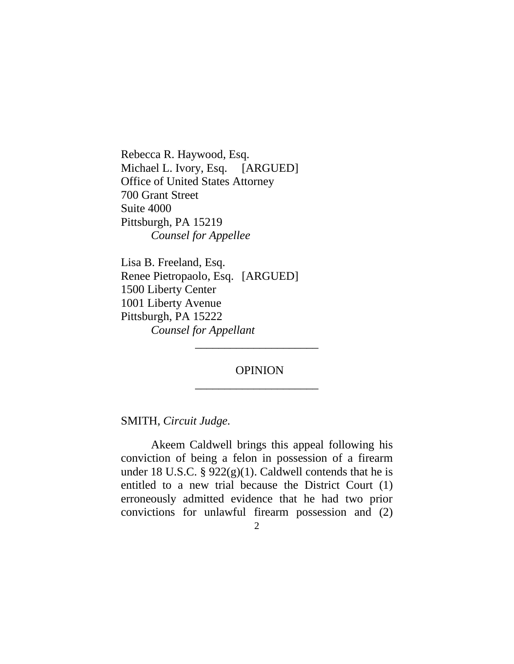Rebecca R. Haywood, Esq. Michael L. Ivory, Esq. [ARGUED] Office of United States Attorney 700 Grant Street Suite 4000 Pittsburgh, PA 15219 *Counsel for Appellee*

Lisa B. Freeland, Esq. Renee Pietropaolo, Esq. [ARGUED] 1500 Liberty Center 1001 Liberty Avenue Pittsburgh, PA 15222 *Counsel for Appellant*

# OPINION \_\_\_\_\_\_\_\_\_\_\_\_\_\_\_\_\_\_\_\_\_

\_\_\_\_\_\_\_\_\_\_\_\_\_\_\_\_\_\_\_\_\_

SMITH, *Circuit Judge.*

Akeem Caldwell brings this appeal following his conviction of being a felon in possession of a firearm under 18 U.S.C. §  $922(g)(1)$ . Caldwell contends that he is entitled to a new trial because the District Court (1) erroneously admitted evidence that he had two prior convictions for unlawful firearm possession and (2)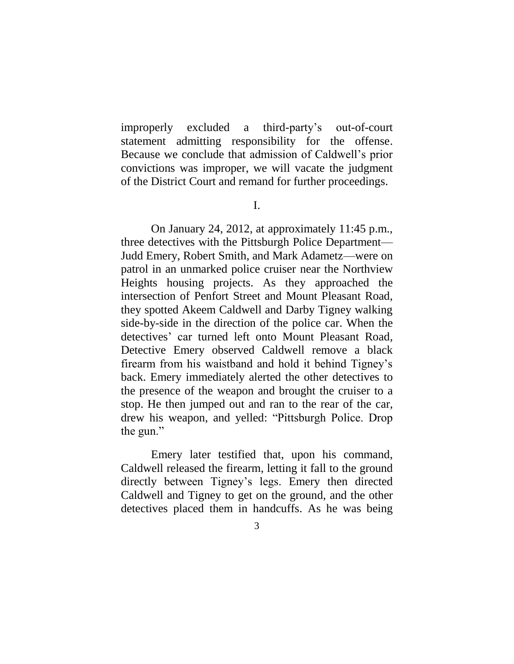improperly excluded a third-party's out-of-court statement admitting responsibility for the offense. Because we conclude that admission of Caldwell's prior convictions was improper, we will vacate the judgment of the District Court and remand for further proceedings.

I.

On January 24, 2012, at approximately 11:45 p.m., three detectives with the Pittsburgh Police Department— Judd Emery, Robert Smith, and Mark Adametz—were on patrol in an unmarked police cruiser near the Northview Heights housing projects. As they approached the intersection of Penfort Street and Mount Pleasant Road, they spotted Akeem Caldwell and Darby Tigney walking side-by-side in the direction of the police car. When the detectives' car turned left onto Mount Pleasant Road, Detective Emery observed Caldwell remove a black firearm from his waistband and hold it behind Tigney's back. Emery immediately alerted the other detectives to the presence of the weapon and brought the cruiser to a stop. He then jumped out and ran to the rear of the car, drew his weapon, and yelled: "Pittsburgh Police. Drop the gun."

Emery later testified that, upon his command, Caldwell released the firearm, letting it fall to the ground directly between Tigney's legs. Emery then directed Caldwell and Tigney to get on the ground, and the other detectives placed them in handcuffs. As he was being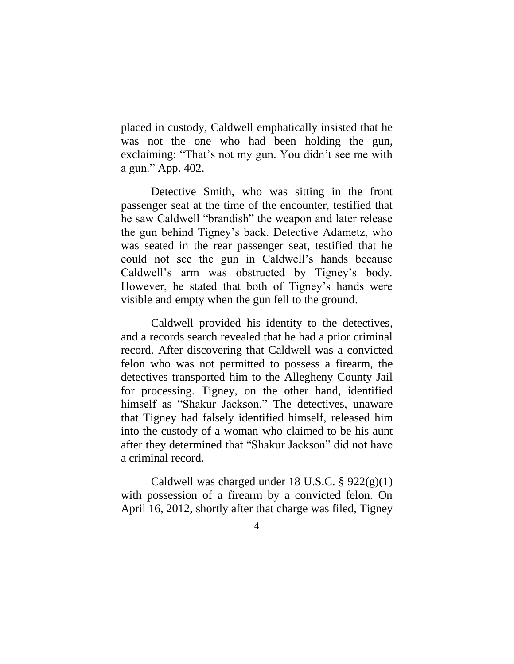placed in custody, Caldwell emphatically insisted that he was not the one who had been holding the gun, exclaiming: "That's not my gun. You didn't see me with a gun." App. 402.

Detective Smith, who was sitting in the front passenger seat at the time of the encounter, testified that he saw Caldwell "brandish" the weapon and later release the gun behind Tigney's back. Detective Adametz, who was seated in the rear passenger seat, testified that he could not see the gun in Caldwell's hands because Caldwell's arm was obstructed by Tigney's body. However, he stated that both of Tigney's hands were visible and empty when the gun fell to the ground.

Caldwell provided his identity to the detectives, and a records search revealed that he had a prior criminal record. After discovering that Caldwell was a convicted felon who was not permitted to possess a firearm, the detectives transported him to the Allegheny County Jail for processing. Tigney, on the other hand, identified himself as "Shakur Jackson." The detectives, unaware that Tigney had falsely identified himself, released him into the custody of a woman who claimed to be his aunt after they determined that "Shakur Jackson" did not have a criminal record.

Caldwell was charged under 18 U.S.C.  $\S 922(g)(1)$ with possession of a firearm by a convicted felon. On April 16, 2012, shortly after that charge was filed, Tigney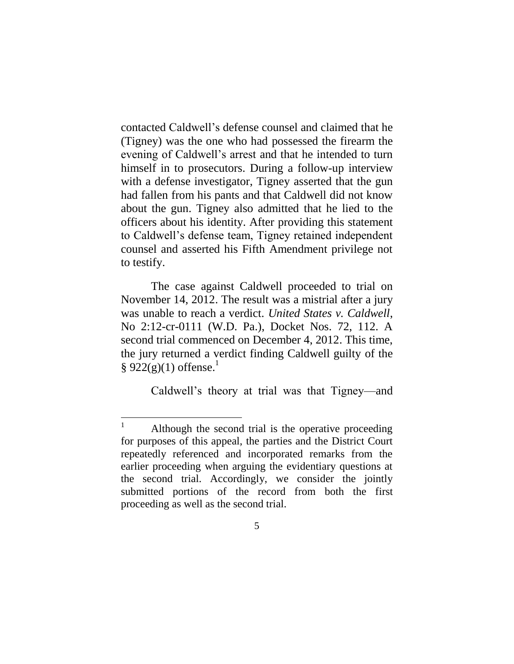contacted Caldwell's defense counsel and claimed that he (Tigney) was the one who had possessed the firearm the evening of Caldwell's arrest and that he intended to turn himself in to prosecutors. During a follow-up interview with a defense investigator, Tigney asserted that the gun had fallen from his pants and that Caldwell did not know about the gun. Tigney also admitted that he lied to the officers about his identity. After providing this statement to Caldwell's defense team, Tigney retained independent counsel and asserted his Fifth Amendment privilege not to testify.

The case against Caldwell proceeded to trial on November 14, 2012. The result was a mistrial after a jury was unable to reach a verdict. *United States v. Caldwell*, No 2:12-cr-0111 (W.D. Pa.), Docket Nos. 72, 112. A second trial commenced on December 4, 2012. This time, the jury returned a verdict finding Caldwell guilty of the  $\S$  922(g)(1) offense.<sup>1</sup>

Caldwell's theory at trial was that Tigney—and

 $\overline{a}$ 

Although the second trial is the operative proceeding for purposes of this appeal, the parties and the District Court repeatedly referenced and incorporated remarks from the earlier proceeding when arguing the evidentiary questions at the second trial. Accordingly, we consider the jointly submitted portions of the record from both the first proceeding as well as the second trial.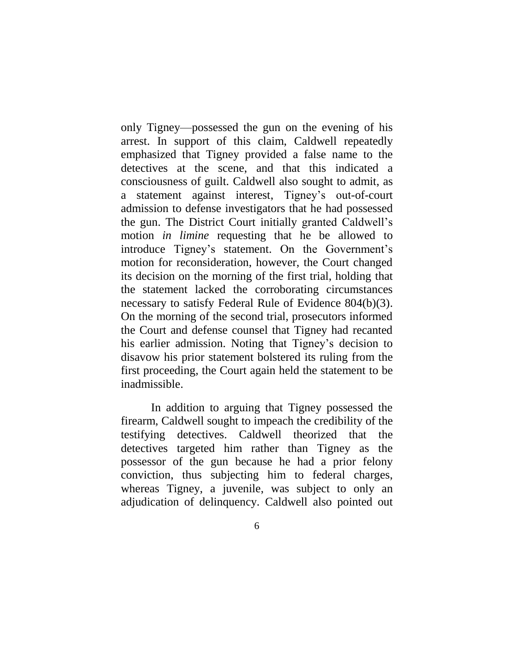only Tigney—possessed the gun on the evening of his arrest. In support of this claim, Caldwell repeatedly emphasized that Tigney provided a false name to the detectives at the scene, and that this indicated a consciousness of guilt. Caldwell also sought to admit, as a statement against interest, Tigney's out-of-court admission to defense investigators that he had possessed the gun. The District Court initially granted Caldwell's motion *in limine* requesting that he be allowed to introduce Tigney's statement. On the Government's motion for reconsideration, however, the Court changed its decision on the morning of the first trial, holding that the statement lacked the corroborating circumstances necessary to satisfy Federal Rule of Evidence 804(b)(3). On the morning of the second trial, prosecutors informed the Court and defense counsel that Tigney had recanted his earlier admission. Noting that Tigney's decision to disavow his prior statement bolstered its ruling from the first proceeding, the Court again held the statement to be inadmissible.

In addition to arguing that Tigney possessed the firearm, Caldwell sought to impeach the credibility of the testifying detectives. Caldwell theorized that the detectives targeted him rather than Tigney as the possessor of the gun because he had a prior felony conviction, thus subjecting him to federal charges, whereas Tigney, a juvenile, was subject to only an adjudication of delinquency. Caldwell also pointed out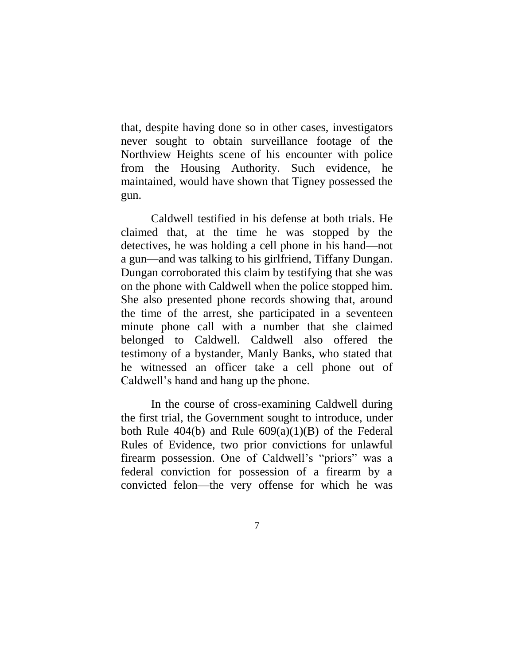that, despite having done so in other cases, investigators never sought to obtain surveillance footage of the Northview Heights scene of his encounter with police from the Housing Authority. Such evidence, he maintained, would have shown that Tigney possessed the gun.

Caldwell testified in his defense at both trials. He claimed that, at the time he was stopped by the detectives, he was holding a cell phone in his hand—not a gun—and was talking to his girlfriend, Tiffany Dungan. Dungan corroborated this claim by testifying that she was on the phone with Caldwell when the police stopped him. She also presented phone records showing that, around the time of the arrest, she participated in a seventeen minute phone call with a number that she claimed belonged to Caldwell. Caldwell also offered the testimony of a bystander, Manly Banks, who stated that he witnessed an officer take a cell phone out of Caldwell's hand and hang up the phone.

In the course of cross-examining Caldwell during the first trial, the Government sought to introduce, under both Rule  $404(b)$  and Rule  $609(a)(1)(B)$  of the Federal Rules of Evidence, two prior convictions for unlawful firearm possession. One of Caldwell's "priors" was a federal conviction for possession of a firearm by a convicted felon—the very offense for which he was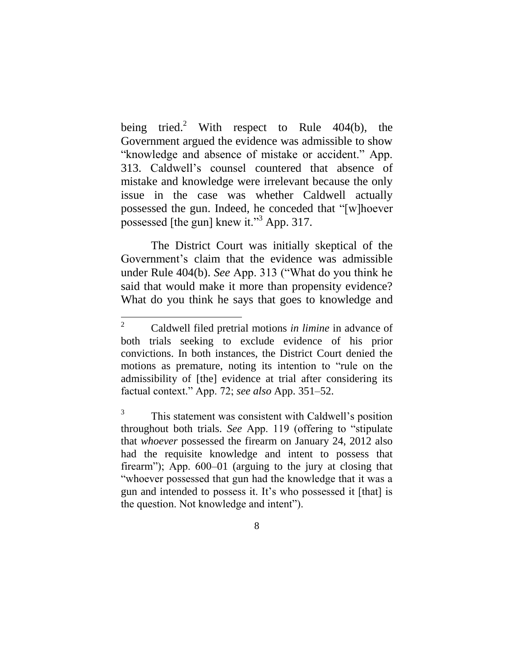being tried.<sup>2</sup> With respect to Rule  $404(b)$ , the Government argued the evidence was admissible to show "knowledge and absence of mistake or accident." App. 313. Caldwell's counsel countered that absence of mistake and knowledge were irrelevant because the only issue in the case was whether Caldwell actually possessed the gun. Indeed, he conceded that "[w]hoever possessed [the gun] knew it."<sup>3</sup> App. 317.

The District Court was initially skeptical of the Government's claim that the evidence was admissible under Rule 404(b). *See* App. 313 ("What do you think he said that would make it more than propensity evidence? What do you think he says that goes to knowledge and

 $\overline{a}$ 

<sup>2</sup> Caldwell filed pretrial motions *in limine* in advance of both trials seeking to exclude evidence of his prior convictions. In both instances, the District Court denied the motions as premature, noting its intention to "rule on the admissibility of [the] evidence at trial after considering its factual context." App. 72; *see also* App. 351–52.

<sup>3</sup> This statement was consistent with Caldwell's position throughout both trials. *See* App. 119 (offering to "stipulate that *whoever* possessed the firearm on January 24, 2012 also had the requisite knowledge and intent to possess that firearm"); App. 600–01 (arguing to the jury at closing that "whoever possessed that gun had the knowledge that it was a gun and intended to possess it. It's who possessed it [that] is the question. Not knowledge and intent").

<sup>8</sup>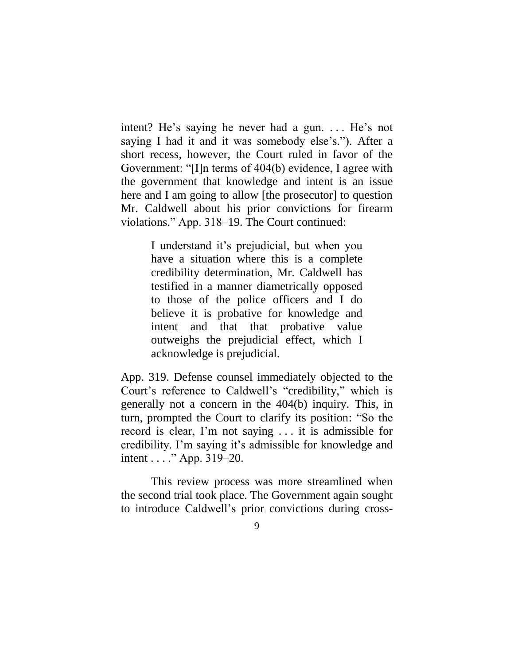intent? He's saying he never had a gun. ... He's not saying I had it and it was somebody else's."). After a short recess, however, the Court ruled in favor of the Government: "[I]n terms of 404(b) evidence, I agree with the government that knowledge and intent is an issue here and I am going to allow [the prosecutor] to question Mr. Caldwell about his prior convictions for firearm violations." App. 318–19. The Court continued:

> I understand it's prejudicial, but when you have a situation where this is a complete credibility determination, Mr. Caldwell has testified in a manner diametrically opposed to those of the police officers and I do believe it is probative for knowledge and intent and that that probative value outweighs the prejudicial effect, which I acknowledge is prejudicial.

App. 319. Defense counsel immediately objected to the Court's reference to Caldwell's "credibility," which is generally not a concern in the 404(b) inquiry. This, in turn, prompted the Court to clarify its position: "So the record is clear, I'm not saying . . . it is admissible for credibility. I'm saying it's admissible for knowledge and intent . . . ." App. 319–20.

This review process was more streamlined when the second trial took place. The Government again sought to introduce Caldwell's prior convictions during cross-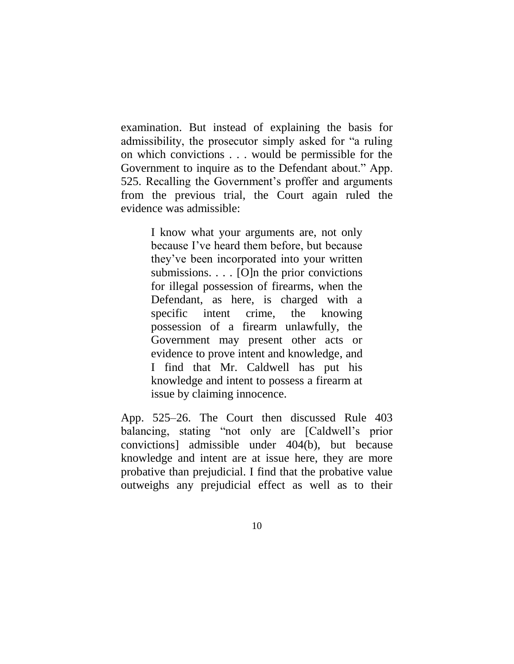examination. But instead of explaining the basis for admissibility, the prosecutor simply asked for "a ruling on which convictions . . . would be permissible for the Government to inquire as to the Defendant about." App. 525. Recalling the Government's proffer and arguments from the previous trial, the Court again ruled the evidence was admissible:

> I know what your arguments are, not only because I've heard them before, but because they've been incorporated into your written submissions. . . . [O]n the prior convictions for illegal possession of firearms, when the Defendant, as here, is charged with a specific intent crime, the knowing possession of a firearm unlawfully, the Government may present other acts or evidence to prove intent and knowledge, and I find that Mr. Caldwell has put his knowledge and intent to possess a firearm at issue by claiming innocence.

App. 525–26. The Court then discussed Rule 403 balancing, stating "not only are [Caldwell's prior convictions] admissible under 404(b), but because knowledge and intent are at issue here, they are more probative than prejudicial. I find that the probative value outweighs any prejudicial effect as well as to their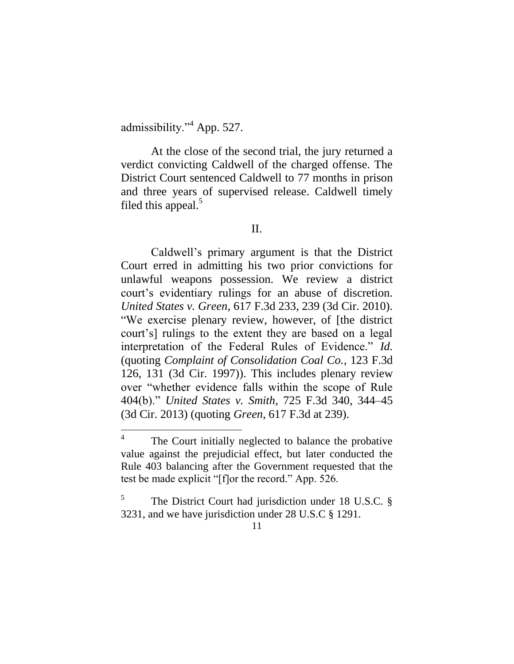admissibility."<sup>4</sup> App. 527.

 $\overline{a}$ 

At the close of the second trial, the jury returned a verdict convicting Caldwell of the charged offense. The District Court sentenced Caldwell to 77 months in prison and three years of supervised release. Caldwell timely filed this appeal.<sup>5</sup>

#### II.

Caldwell's primary argument is that the District Court erred in admitting his two prior convictions for unlawful weapons possession. We review a district court's evidentiary rulings for an abuse of discretion. *United States v. Green*, 617 F.3d 233, 239 (3d Cir. 2010). "We exercise plenary review, however, of [the district court's] rulings to the extent they are based on a legal interpretation of the Federal Rules of Evidence." *Id.* (quoting *Complaint of Consolidation Coal Co.*, 123 F.3d 126, 131 (3d Cir. 1997)). This includes plenary review over "whether evidence falls within the scope of Rule 404(b)." *United States v. Smith*, 725 F.3d 340, 344–45 (3d Cir. 2013) (quoting *Green*, 617 F.3d at 239).

<sup>4</sup> The Court initially neglected to balance the probative value against the prejudicial effect, but later conducted the Rule 403 balancing after the Government requested that the test be made explicit "[f]or the record." App. 526.

<sup>5</sup> The District Court had jurisdiction under 18 U.S.C. § 3231, and we have jurisdiction under 28 U.S.C § 1291.

<sup>11</sup>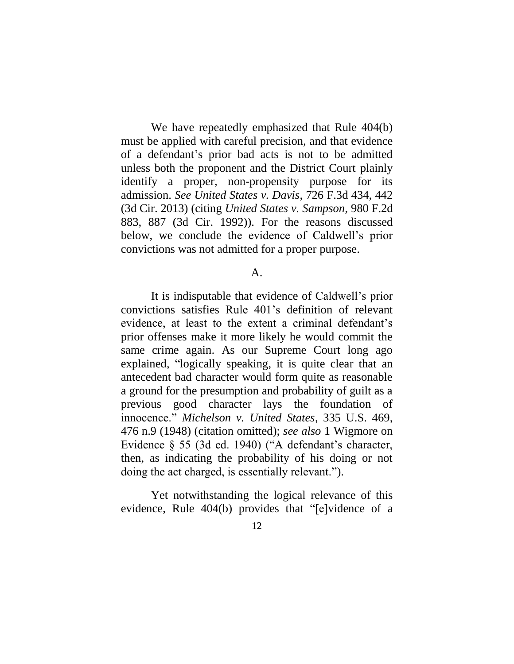We have repeatedly emphasized that Rule 404(b) must be applied with careful precision, and that evidence of a defendant's prior bad acts is not to be admitted unless both the proponent and the District Court plainly identify a proper, non-propensity purpose for its admission. *See United States v. Davis*, 726 F.3d 434, 442 (3d Cir. 2013) (citing *United States v. Sampson*, 980 F.2d 883, 887 (3d Cir. 1992)). For the reasons discussed below, we conclude the evidence of Caldwell's prior convictions was not admitted for a proper purpose.

#### A.

It is indisputable that evidence of Caldwell's prior convictions satisfies Rule 401's definition of relevant evidence, at least to the extent a criminal defendant's prior offenses make it more likely he would commit the same crime again. As our Supreme Court long ago explained, "logically speaking, it is quite clear that an antecedent bad character would form quite as reasonable a ground for the presumption and probability of guilt as a previous good character lays the foundation of innocence." *Michelson v. United States*, 335 U.S. 469, 476 n.9 (1948) (citation omitted); *see also* 1 Wigmore on Evidence § 55 (3d ed. 1940) ("A defendant's character, then, as indicating the probability of his doing or not doing the act charged, is essentially relevant.").

Yet notwithstanding the logical relevance of this evidence, Rule 404(b) provides that "[e]vidence of a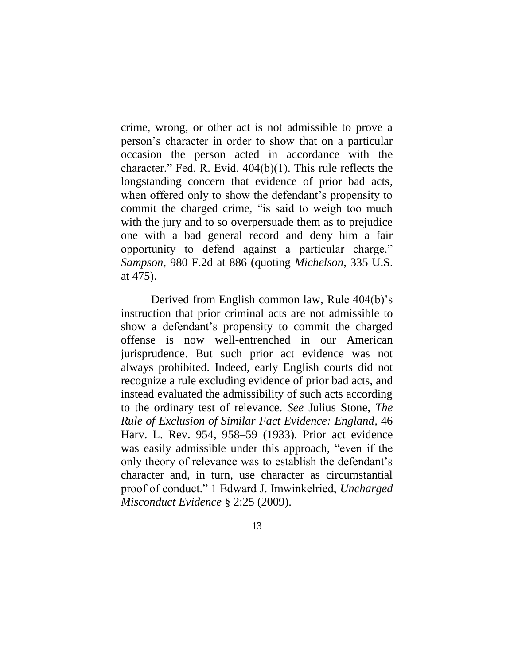crime, wrong, or other act is not admissible to prove a person's character in order to show that on a particular occasion the person acted in accordance with the character." Fed. R. Evid. 404(b)(1). This rule reflects the longstanding concern that evidence of prior bad acts, when offered only to show the defendant's propensity to commit the charged crime, "is said to weigh too much with the jury and to so overpersuade them as to prejudice one with a bad general record and deny him a fair opportunity to defend against a particular charge." *Sampson*, 980 F.2d at 886 (quoting *Michelson*, 335 U.S. at 475).

Derived from English common law, Rule 404(b)'s instruction that prior criminal acts are not admissible to show a defendant's propensity to commit the charged offense is now well-entrenched in our American jurisprudence. But such prior act evidence was not always prohibited. Indeed, early English courts did not recognize a rule excluding evidence of prior bad acts, and instead evaluated the admissibility of such acts according to the ordinary test of relevance. *See* Julius Stone, *The Rule of Exclusion of Similar Fact Evidence: England*, 46 Harv. L. Rev. 954, 958–59 (1933). Prior act evidence was easily admissible under this approach, "even if the only theory of relevance was to establish the defendant's character and, in turn, use character as circumstantial proof of conduct." 1 Edward J. Imwinkelried, *Uncharged Misconduct Evidence* § 2:25 (2009).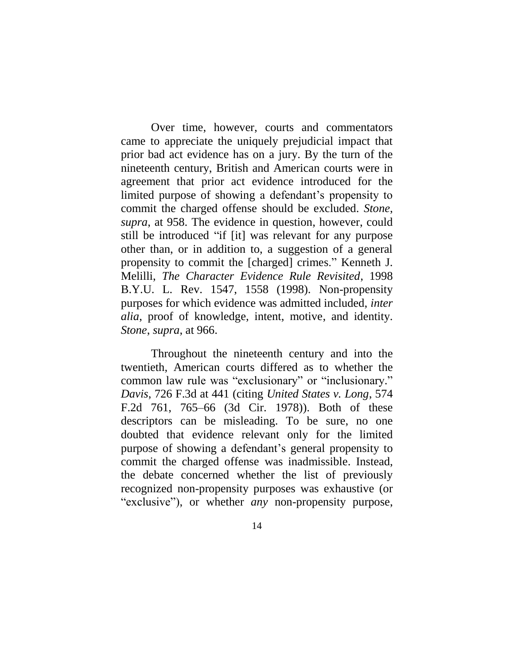Over time, however, courts and commentators came to appreciate the uniquely prejudicial impact that prior bad act evidence has on a jury. By the turn of the nineteenth century, British and American courts were in agreement that prior act evidence introduced for the limited purpose of showing a defendant's propensity to commit the charged offense should be excluded. *Stone*, *supra*, at 958. The evidence in question, however, could still be introduced "if [it] was relevant for any purpose other than, or in addition to, a suggestion of a general propensity to commit the [charged] crimes." Kenneth J. Melilli, *The Character Evidence Rule Revisited*, 1998 B.Y.U. L. Rev. 1547, 1558 (1998). Non-propensity purposes for which evidence was admitted included, *inter alia*, proof of knowledge, intent, motive, and identity. *Stone*, *supra*, at 966.

Throughout the nineteenth century and into the twentieth, American courts differed as to whether the common law rule was "exclusionary" or "inclusionary." *Davis*, 726 F.3d at 441 (citing *United States v. Long*, 574 F.2d 761, 765–66 (3d Cir. 1978)). Both of these descriptors can be misleading. To be sure, no one doubted that evidence relevant only for the limited purpose of showing a defendant's general propensity to commit the charged offense was inadmissible. Instead, the debate concerned whether the list of previously recognized non-propensity purposes was exhaustive (or "exclusive"), or whether *any* non-propensity purpose,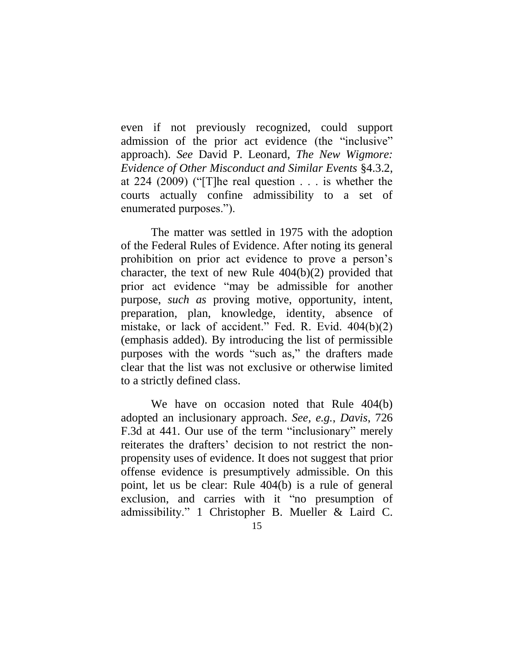even if not previously recognized, could support admission of the prior act evidence (the "inclusive" approach). *See* David P. Leonard, *The New Wigmore: Evidence of Other Misconduct and Similar Events* §4.3.2, at 224 (2009) ("[T]he real question . . . is whether the courts actually confine admissibility to a set of enumerated purposes.").

The matter was settled in 1975 with the adoption of the Federal Rules of Evidence. After noting its general prohibition on prior act evidence to prove a person's character, the text of new Rule 404(b)(2) provided that prior act evidence "may be admissible for another purpose, *such as* proving motive, opportunity, intent, preparation, plan, knowledge, identity, absence of mistake, or lack of accident." Fed. R. Evid. 404(b)(2) (emphasis added). By introducing the list of permissible purposes with the words "such as," the drafters made clear that the list was not exclusive or otherwise limited to a strictly defined class.

We have on occasion noted that Rule 404(b) adopted an inclusionary approach. *See, e.g.*, *Davis*, 726 F.3d at 441. Our use of the term "inclusionary" merely reiterates the drafters' decision to not restrict the nonpropensity uses of evidence. It does not suggest that prior offense evidence is presumptively admissible. On this point, let us be clear: Rule 404(b) is a rule of general exclusion, and carries with it "no presumption of admissibility." 1 Christopher B. Mueller & Laird C.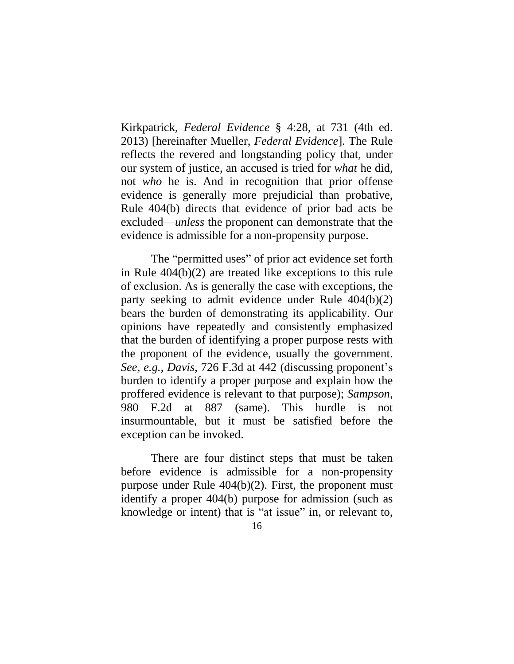Kirkpatrick, *Federal Evidence* § 4:28, at 731 (4th ed. 2013) [hereinafter Mueller, *Federal Evidence*]. The Rule reflects the revered and longstanding policy that, under our system of justice, an accused is tried for *what* he did, not *who* he is. And in recognition that prior offense evidence is generally more prejudicial than probative, Rule 404(b) directs that evidence of prior bad acts be excluded—*unless* the proponent can demonstrate that the evidence is admissible for a non-propensity purpose.

The "permitted uses" of prior act evidence set forth in Rule 404(b)(2) are treated like exceptions to this rule of exclusion. As is generally the case with exceptions, the party seeking to admit evidence under Rule 404(b)(2) bears the burden of demonstrating its applicability. Our opinions have repeatedly and consistently emphasized that the burden of identifying a proper purpose rests with the proponent of the evidence, usually the government. *See, e.g.*, *Davis*, 726 F.3d at 442 (discussing proponent's burden to identify a proper purpose and explain how the proffered evidence is relevant to that purpose); *Sampson*, 980 F.2d at 887 (same). This hurdle is not insurmountable, but it must be satisfied before the exception can be invoked.

There are four distinct steps that must be taken before evidence is admissible for a non-propensity purpose under Rule 404(b)(2). First, the proponent must identify a proper 404(b) purpose for admission (such as knowledge or intent) that is "at issue" in, or relevant to,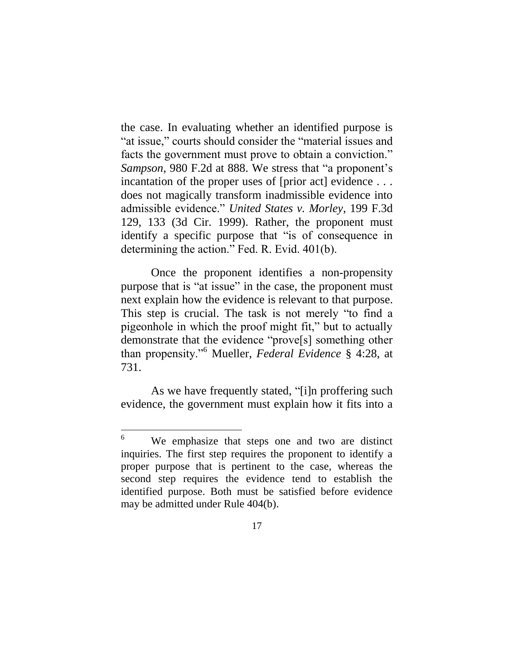the case. In evaluating whether an identified purpose is "at issue," courts should consider the "material issues and facts the government must prove to obtain a conviction." *Sampson*, 980 F.2d at 888. We stress that "a proponent's incantation of the proper uses of [prior act] evidence ... does not magically transform inadmissible evidence into admissible evidence." *United States v. Morley*, 199 F.3d 129, 133 (3d Cir. 1999). Rather, the proponent must identify a specific purpose that "is of consequence in determining the action." Fed. R. Evid. 401(b).

Once the proponent identifies a non-propensity purpose that is "at issue" in the case, the proponent must next explain how the evidence is relevant to that purpose. This step is crucial. The task is not merely "to find a pigeonhole in which the proof might fit," but to actually demonstrate that the evidence "prove[s] something other than propensity."<sup>6</sup> Mueller, *Federal Evidence* § 4:28, at 731.

As we have frequently stated, "[i]n proffering such evidence, the government must explain how it fits into a

<sup>6</sup> We emphasize that steps one and two are distinct inquiries. The first step requires the proponent to identify a proper purpose that is pertinent to the case, whereas the second step requires the evidence tend to establish the identified purpose. Both must be satisfied before evidence may be admitted under Rule 404(b).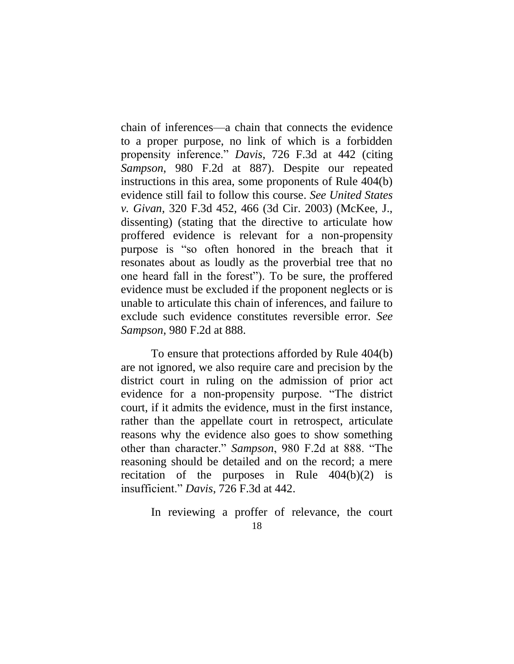chain of inferences—a chain that connects the evidence to a proper purpose, no link of which is a forbidden propensity inference." *Davis*, 726 F.3d at 442 (citing *Sampson*, 980 F.2d at 887). Despite our repeated instructions in this area, some proponents of Rule 404(b) evidence still fail to follow this course. *See United States v. Givan*, 320 F.3d 452, 466 (3d Cir. 2003) (McKee, J., dissenting) (stating that the directive to articulate how proffered evidence is relevant for a non-propensity purpose is "so often honored in the breach that it resonates about as loudly as the proverbial tree that no one heard fall in the forest"). To be sure, the proffered evidence must be excluded if the proponent neglects or is unable to articulate this chain of inferences, and failure to exclude such evidence constitutes reversible error. *See Sampson*, 980 F.2d at 888.

To ensure that protections afforded by Rule 404(b) are not ignored, we also require care and precision by the district court in ruling on the admission of prior act evidence for a non-propensity purpose. "The district court, if it admits the evidence, must in the first instance, rather than the appellate court in retrospect, articulate reasons why the evidence also goes to show something other than character." *Sampson*, 980 F.2d at 888. "The reasoning should be detailed and on the record; a mere recitation of the purposes in Rule 404(b)(2) is insufficient." *Davis*, 726 F.3d at 442.

In reviewing a proffer of relevance, the court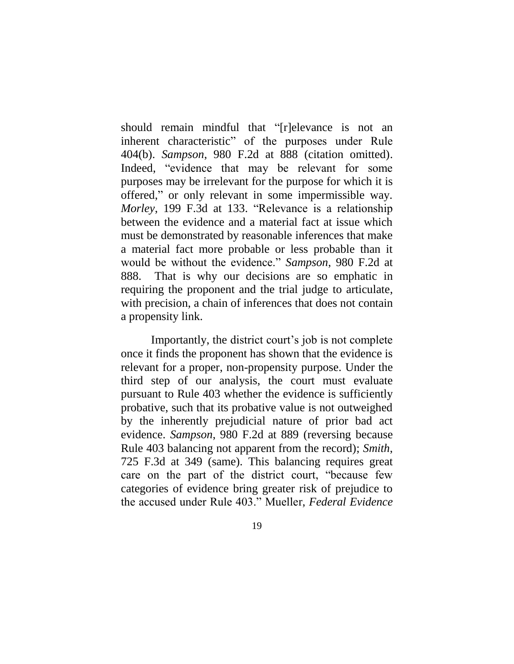should remain mindful that "[r]elevance is not an inherent characteristic" of the purposes under Rule 404(b). *Sampson*, 980 F.2d at 888 (citation omitted). Indeed, "evidence that may be relevant for some purposes may be irrelevant for the purpose for which it is offered," or only relevant in some impermissible way. *Morley*, 199 F.3d at 133. "Relevance is a relationship between the evidence and a material fact at issue which must be demonstrated by reasonable inferences that make a material fact more probable or less probable than it would be without the evidence." *Sampson*, 980 F.2d at 888. That is why our decisions are so emphatic in requiring the proponent and the trial judge to articulate, with precision, a chain of inferences that does not contain a propensity link.

Importantly, the district court's job is not complete once it finds the proponent has shown that the evidence is relevant for a proper, non-propensity purpose. Under the third step of our analysis, the court must evaluate pursuant to Rule 403 whether the evidence is sufficiently probative, such that its probative value is not outweighed by the inherently prejudicial nature of prior bad act evidence. *Sampson*, 980 F.2d at 889 (reversing because Rule 403 balancing not apparent from the record); *Smith*, 725 F.3d at 349 (same). This balancing requires great care on the part of the district court, "because few categories of evidence bring greater risk of prejudice to the accused under Rule 403." Mueller, *Federal Evidence*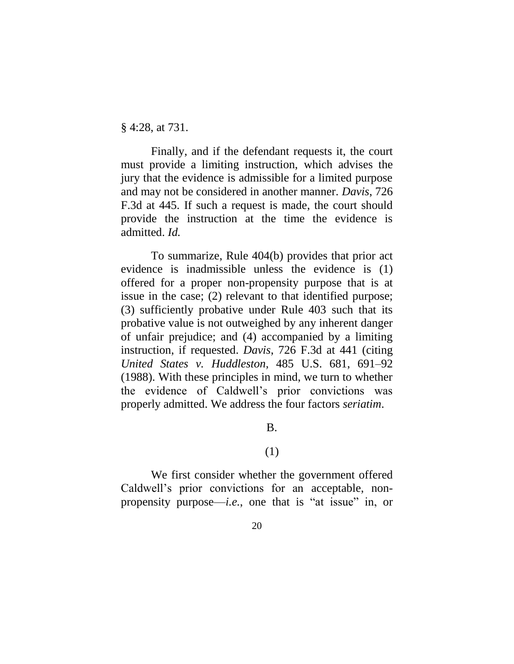§ 4:28, at 731.

Finally, and if the defendant requests it, the court must provide a limiting instruction, which advises the jury that the evidence is admissible for a limited purpose and may not be considered in another manner. *Davis*, 726 F.3d at 445. If such a request is made, the court should provide the instruction at the time the evidence is admitted. *Id.* 

To summarize, Rule 404(b) provides that prior act evidence is inadmissible unless the evidence is (1) offered for a proper non-propensity purpose that is at issue in the case; (2) relevant to that identified purpose; (3) sufficiently probative under Rule 403 such that its probative value is not outweighed by any inherent danger of unfair prejudice; and (4) accompanied by a limiting instruction, if requested. *Davis*, 726 F.3d at 441 (citing *United States v. Huddleston,* 485 U.S. 681, 691–92 (1988). With these principles in mind, we turn to whether the evidence of Caldwell's prior convictions was properly admitted. We address the four factors *seriatim*.

B.

## (1)

We first consider whether the government offered Caldwell's prior convictions for an acceptable, nonpropensity purpose—*i.e.*, one that is "at issue" in, or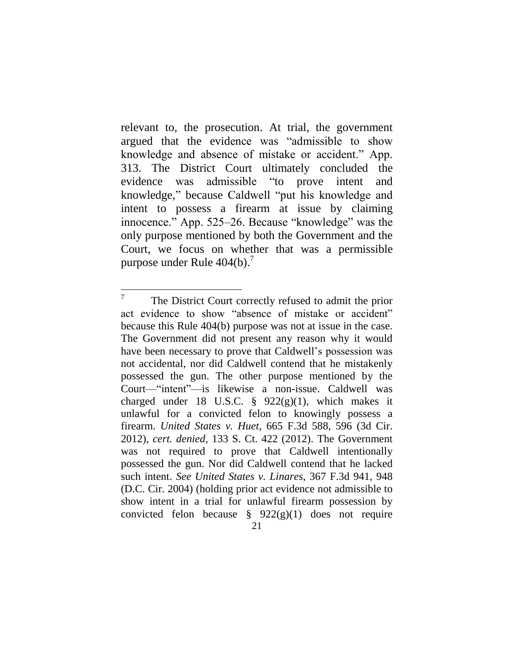relevant to, the prosecution. At trial, the government argued that the evidence was "admissible to show knowledge and absence of mistake or accident." App. 313. The District Court ultimately concluded the evidence was admissible "to prove intent and knowledge," because Caldwell "put his knowledge and intent to possess a firearm at issue by claiming innocence." App. 525–26. Because "knowledge" was the only purpose mentioned by both the Government and the Court, we focus on whether that was a permissible purpose under Rule  $404(b)$ .<sup>7</sup>

 $\overline{a}$ 7 The District Court correctly refused to admit the prior act evidence to show "absence of mistake or accident" because this Rule 404(b) purpose was not at issue in the case. The Government did not present any reason why it would have been necessary to prove that Caldwell's possession was not accidental, nor did Caldwell contend that he mistakenly possessed the gun. The other purpose mentioned by the Court—"intent"—is likewise a non-issue. Caldwell was charged under 18 U.S.C.  $\frac{8}{922(g)(1)}$ , which makes it unlawful for a convicted felon to knowingly possess a firearm. *United States v. Huet*, 665 F.3d 588, 596 (3d Cir. 2012), *cert. denied*, 133 S. Ct. 422 (2012). The Government was not required to prove that Caldwell intentionally possessed the gun. Nor did Caldwell contend that he lacked such intent. *See United States v. Linares*, 367 F.3d 941, 948 (D.C. Cir. 2004) (holding prior act evidence not admissible to show intent in a trial for unlawful firearm possession by convicted felon because  $\S$  922(g)(1) does not require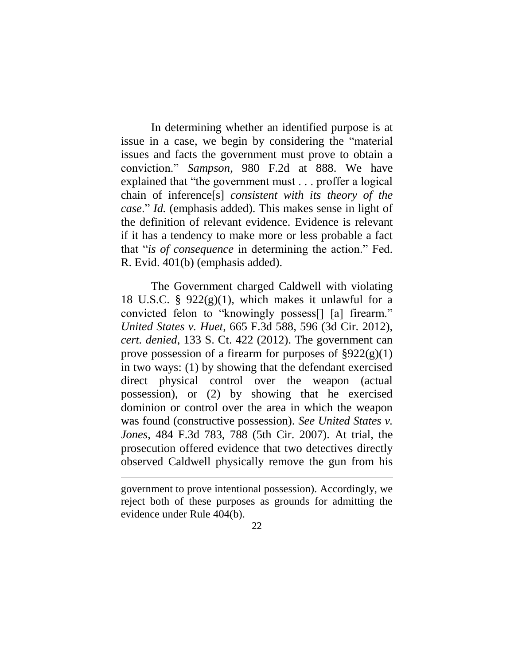In determining whether an identified purpose is at issue in a case, we begin by considering the "material issues and facts the government must prove to obtain a conviction." *Sampson*, 980 F.2d at 888. We have explained that "the government must . . . proffer a logical chain of inference[s] *consistent with its theory of the case*." *Id.* (emphasis added). This makes sense in light of the definition of relevant evidence. Evidence is relevant if it has a tendency to make more or less probable a fact that "*is of consequence* in determining the action." Fed. R. Evid. 401(b) (emphasis added).

The Government charged Caldwell with violating 18 U.S.C. §  $922(g)(1)$ , which makes it unlawful for a convicted felon to "knowingly possess[] [a] firearm." *United States v. Huet*, 665 F.3d 588, 596 (3d Cir. 2012), *cert. denied*, 133 S. Ct. 422 (2012). The government can prove possession of a firearm for purposes of  $\S 922(g)(1)$ in two ways: (1) by showing that the defendant exercised direct physical control over the weapon (actual possession), or (2) by showing that he exercised dominion or control over the area in which the weapon was found (constructive possession). *See United States v. Jones*, 484 F.3d 783, 788 (5th Cir. 2007). At trial, the prosecution offered evidence that two detectives directly observed Caldwell physically remove the gun from his

 $\overline{a}$ 

government to prove intentional possession). Accordingly, we reject both of these purposes as grounds for admitting the evidence under Rule 404(b).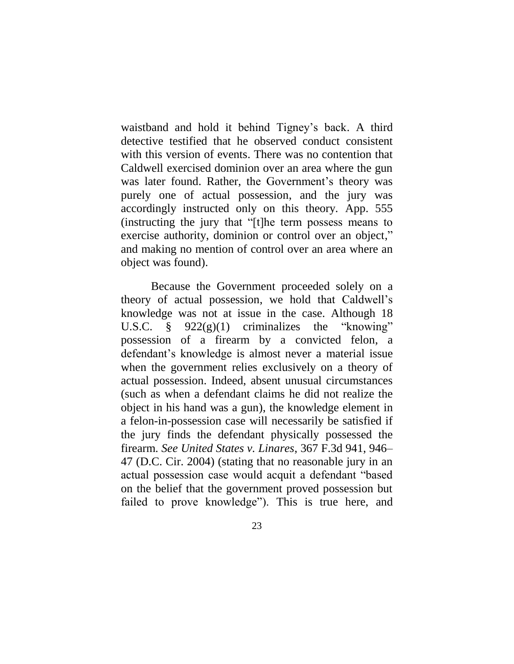waistband and hold it behind Tigney's back. A third detective testified that he observed conduct consistent with this version of events. There was no contention that Caldwell exercised dominion over an area where the gun was later found. Rather, the Government's theory was purely one of actual possession, and the jury was accordingly instructed only on this theory. App. 555 (instructing the jury that "[t]he term possess means to exercise authority, dominion or control over an object," and making no mention of control over an area where an object was found).

Because the Government proceeded solely on a theory of actual possession, we hold that Caldwell's knowledge was not at issue in the case. Although 18 U.S.C. § 922(g)(1) criminalizes the "knowing" possession of a firearm by a convicted felon, a defendant's knowledge is almost never a material issue when the government relies exclusively on a theory of actual possession. Indeed, absent unusual circumstances (such as when a defendant claims he did not realize the object in his hand was a gun), the knowledge element in a felon-in-possession case will necessarily be satisfied if the jury finds the defendant physically possessed the firearm. *See United States v. Linares*, 367 F.3d 941, 946– 47 (D.C. Cir. 2004) (stating that no reasonable jury in an actual possession case would acquit a defendant "based on the belief that the government proved possession but failed to prove knowledge"). This is true here, and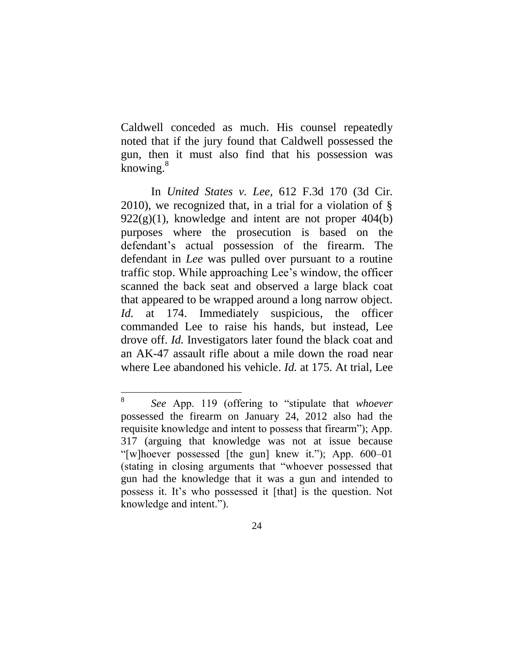Caldwell conceded as much. His counsel repeatedly noted that if the jury found that Caldwell possessed the gun, then it must also find that his possession was knowing. $8^8$ 

In *United States v. Lee*, 612 F.3d 170 (3d Cir. 2010), we recognized that, in a trial for a violation of §  $922(g)(1)$ , knowledge and intent are not proper  $404(b)$ purposes where the prosecution is based on the defendant's actual possession of the firearm. The defendant in *Lee* was pulled over pursuant to a routine traffic stop. While approaching Lee's window, the officer scanned the back seat and observed a large black coat that appeared to be wrapped around a long narrow object. *Id.* at 174. Immediately suspicious, the officer commanded Lee to raise his hands, but instead, Lee drove off. *Id.* Investigators later found the black coat and an AK-47 assault rifle about a mile down the road near where Lee abandoned his vehicle. *Id.* at 175. At trial, Lee

 $\overline{a}$ 

<sup>8</sup> *See* App. 119 (offering to "stipulate that *whoever* possessed the firearm on January 24, 2012 also had the requisite knowledge and intent to possess that firearm"); App. 317 (arguing that knowledge was not at issue because "[w]hoever possessed [the gun] knew it."); App. 600–01 (stating in closing arguments that "whoever possessed that gun had the knowledge that it was a gun and intended to possess it. It's who possessed it [that] is the question. Not knowledge and intent.").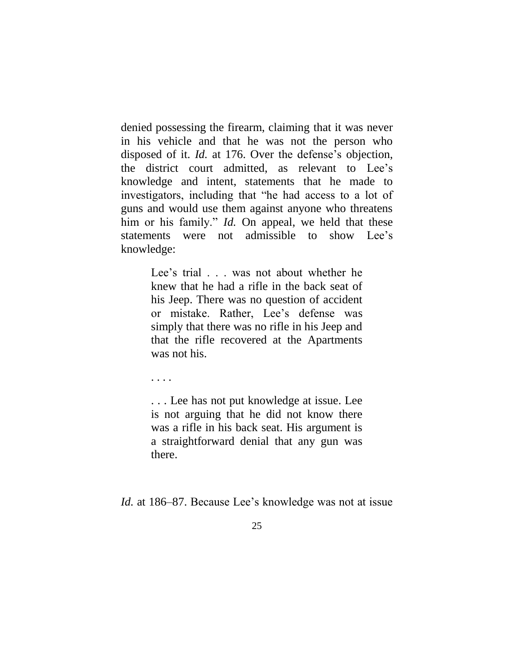denied possessing the firearm, claiming that it was never in his vehicle and that he was not the person who disposed of it. *Id.* at 176. Over the defense's objection, the district court admitted, as relevant to Lee's knowledge and intent, statements that he made to investigators, including that "he had access to a lot of guns and would use them against anyone who threatens him or his family." *Id.* On appeal, we held that these statements were not admissible to show Lee's knowledge:

> Lee's trial . . . was not about whether he knew that he had a rifle in the back seat of his Jeep. There was no question of accident or mistake. Rather, Lee's defense was simply that there was no rifle in his Jeep and that the rifle recovered at the Apartments was not his.

. . . .

. . . Lee has not put knowledge at issue. Lee is not arguing that he did not know there was a rifle in his back seat. His argument is a straightforward denial that any gun was there.

*Id.* at 186–87. Because Lee's knowledge was not at issue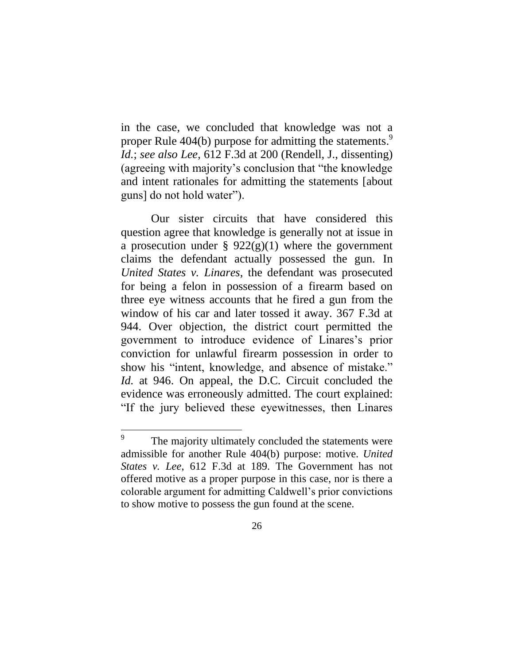in the case, we concluded that knowledge was not a proper Rule 404(b) purpose for admitting the statements.<sup>9</sup> *Id.*; *see also Lee*, 612 F.3d at 200 (Rendell, J., dissenting) (agreeing with majority's conclusion that "the knowledge and intent rationales for admitting the statements [about guns] do not hold water").

Our sister circuits that have considered this question agree that knowledge is generally not at issue in a prosecution under §  $922(g)(1)$  where the government claims the defendant actually possessed the gun. In *United States v. Linares*, the defendant was prosecuted for being a felon in possession of a firearm based on three eye witness accounts that he fired a gun from the window of his car and later tossed it away. 367 F.3d at 944. Over objection, the district court permitted the government to introduce evidence of Linares's prior conviction for unlawful firearm possession in order to show his "intent, knowledge, and absence of mistake." *Id.* at 946. On appeal, the D.C. Circuit concluded the evidence was erroneously admitted. The court explained: "If the jury believed these eyewitnesses, then Linares

 $\overline{a}$ 

<sup>9</sup> The majority ultimately concluded the statements were admissible for another Rule 404(b) purpose: motive. *United States v. Lee*, 612 F.3d at 189. The Government has not offered motive as a proper purpose in this case, nor is there a colorable argument for admitting Caldwell's prior convictions to show motive to possess the gun found at the scene.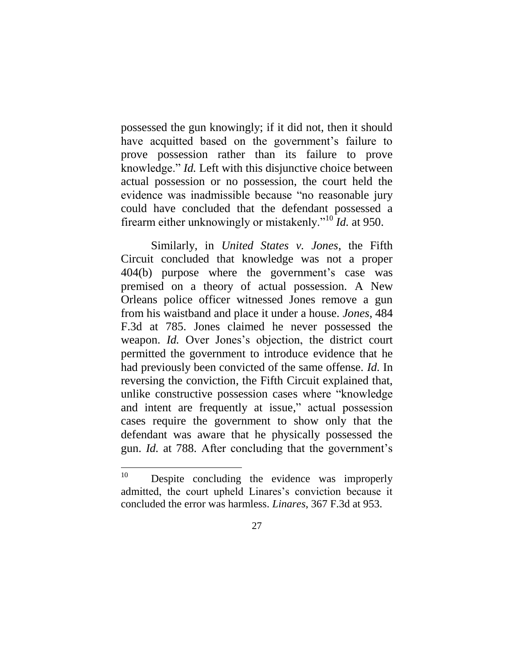possessed the gun knowingly; if it did not, then it should have acquitted based on the government's failure to prove possession rather than its failure to prove knowledge." *Id.* Left with this disjunctive choice between actual possession or no possession, the court held the evidence was inadmissible because "no reasonable jury could have concluded that the defendant possessed a firearm either unknowingly or mistakenly."<sup>10</sup> *Id.* at 950.

Similarly, in *United States v. Jones*, the Fifth Circuit concluded that knowledge was not a proper 404(b) purpose where the government's case was premised on a theory of actual possession. A New Orleans police officer witnessed Jones remove a gun from his waistband and place it under a house. *Jones*, 484 F.3d at 785. Jones claimed he never possessed the weapon. *Id.* Over Jones's objection, the district court permitted the government to introduce evidence that he had previously been convicted of the same offense. *Id.* In reversing the conviction, the Fifth Circuit explained that, unlike constructive possession cases where "knowledge and intent are frequently at issue," actual possession cases require the government to show only that the defendant was aware that he physically possessed the gun. *Id.* at 788. After concluding that the government's

<sup>10</sup> Despite concluding the evidence was improperly admitted, the court upheld Linares's conviction because it concluded the error was harmless. *Linares*, 367 F.3d at 953.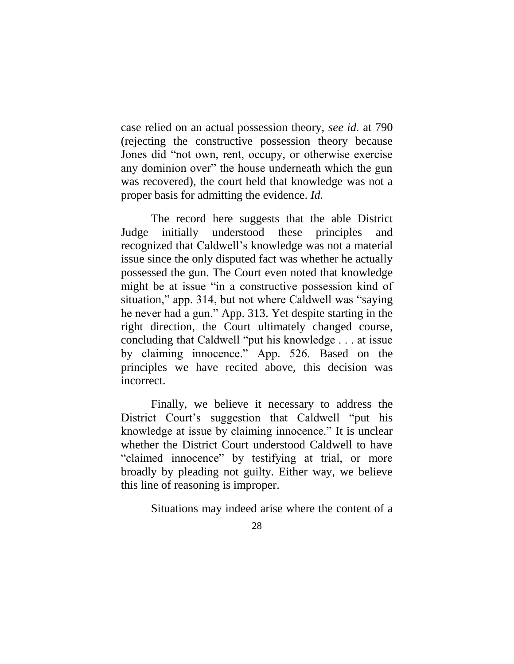case relied on an actual possession theory, *see id.* at 790 (rejecting the constructive possession theory because Jones did "not own, rent, occupy, or otherwise exercise any dominion over" the house underneath which the gun was recovered), the court held that knowledge was not a proper basis for admitting the evidence. *Id.*

The record here suggests that the able District Judge initially understood these principles and recognized that Caldwell's knowledge was not a material issue since the only disputed fact was whether he actually possessed the gun. The Court even noted that knowledge might be at issue "in a constructive possession kind of situation," app. 314, but not where Caldwell was "saying he never had a gun." App. 313. Yet despite starting in the right direction, the Court ultimately changed course, concluding that Caldwell "put his knowledge . . . at issue by claiming innocence." App. 526. Based on the principles we have recited above, this decision was incorrect.

Finally, we believe it necessary to address the District Court's suggestion that Caldwell "put his knowledge at issue by claiming innocence." It is unclear whether the District Court understood Caldwell to have "claimed innocence" by testifying at trial, or more broadly by pleading not guilty. Either way, we believe this line of reasoning is improper.

Situations may indeed arise where the content of a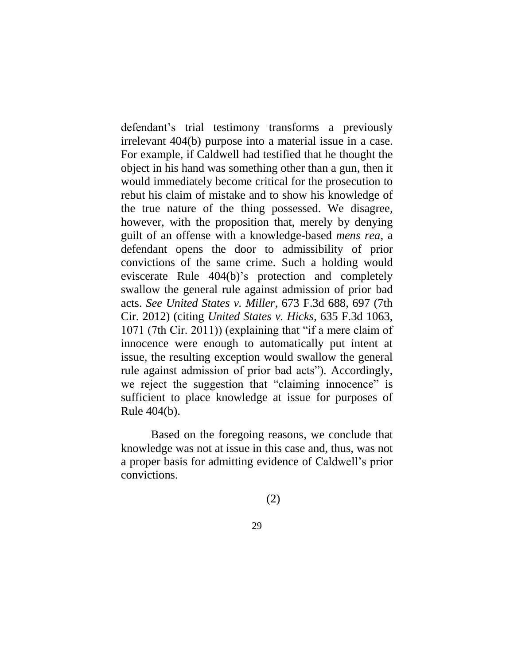defendant's trial testimony transforms a previously irrelevant 404(b) purpose into a material issue in a case. For example, if Caldwell had testified that he thought the object in his hand was something other than a gun, then it would immediately become critical for the prosecution to rebut his claim of mistake and to show his knowledge of the true nature of the thing possessed. We disagree, however, with the proposition that, merely by denying guilt of an offense with a knowledge-based *mens rea*, a defendant opens the door to admissibility of prior convictions of the same crime. Such a holding would eviscerate Rule 404(b)'s protection and completely swallow the general rule against admission of prior bad acts. *See United States v. Miller*, 673 F.3d 688, 697 (7th Cir. 2012) (citing *United States v. Hicks*, 635 F.3d 1063, 1071 (7th Cir. 2011)) (explaining that "if a mere claim of innocence were enough to automatically put intent at issue, the resulting exception would swallow the general rule against admission of prior bad acts"). Accordingly, we reject the suggestion that "claiming innocence" is sufficient to place knowledge at issue for purposes of Rule 404(b).

Based on the foregoing reasons, we conclude that knowledge was not at issue in this case and, thus, was not a proper basis for admitting evidence of Caldwell's prior convictions.

(2)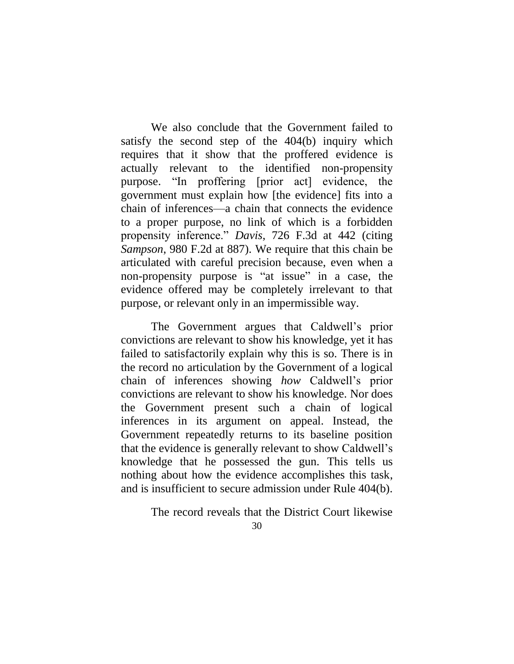We also conclude that the Government failed to satisfy the second step of the 404(b) inquiry which requires that it show that the proffered evidence is actually relevant to the identified non-propensity purpose. "In proffering [prior act] evidence, the government must explain how [the evidence] fits into a chain of inferences—a chain that connects the evidence to a proper purpose, no link of which is a forbidden propensity inference." *Davis*, 726 F.3d at 442 (citing *Sampson*, 980 F.2d at 887). We require that this chain be articulated with careful precision because, even when a non-propensity purpose is "at issue" in a case, the evidence offered may be completely irrelevant to that purpose, or relevant only in an impermissible way.

The Government argues that Caldwell's prior convictions are relevant to show his knowledge, yet it has failed to satisfactorily explain why this is so. There is in the record no articulation by the Government of a logical chain of inferences showing *how* Caldwell's prior convictions are relevant to show his knowledge. Nor does the Government present such a chain of logical inferences in its argument on appeal. Instead, the Government repeatedly returns to its baseline position that the evidence is generally relevant to show Caldwell's knowledge that he possessed the gun. This tells us nothing about how the evidence accomplishes this task, and is insufficient to secure admission under Rule 404(b).

The record reveals that the District Court likewise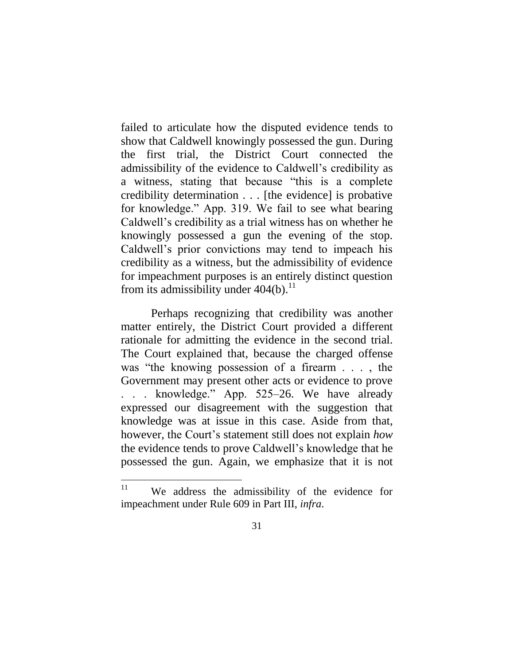failed to articulate how the disputed evidence tends to show that Caldwell knowingly possessed the gun. During the first trial, the District Court connected the admissibility of the evidence to Caldwell's credibility as a witness, stating that because "this is a complete credibility determination . . . [the evidence] is probative for knowledge." App. 319. We fail to see what bearing Caldwell's credibility as a trial witness has on whether he knowingly possessed a gun the evening of the stop. Caldwell's prior convictions may tend to impeach his credibility as a witness, but the admissibility of evidence for impeachment purposes is an entirely distinct question from its admissibility under  $404(b)$ .<sup>11</sup>

Perhaps recognizing that credibility was another matter entirely, the District Court provided a different rationale for admitting the evidence in the second trial. The Court explained that, because the charged offense was "the knowing possession of a firearm . . . , the Government may present other acts or evidence to prove . . . knowledge." App. 525–26. We have already expressed our disagreement with the suggestion that knowledge was at issue in this case. Aside from that, however, the Court's statement still does not explain *how* the evidence tends to prove Caldwell's knowledge that he possessed the gun. Again, we emphasize that it is not

 $\overline{a}$ 

<sup>&</sup>lt;sup>11</sup> We address the admissibility of the evidence for impeachment under Rule 609 in Part III, *infra*.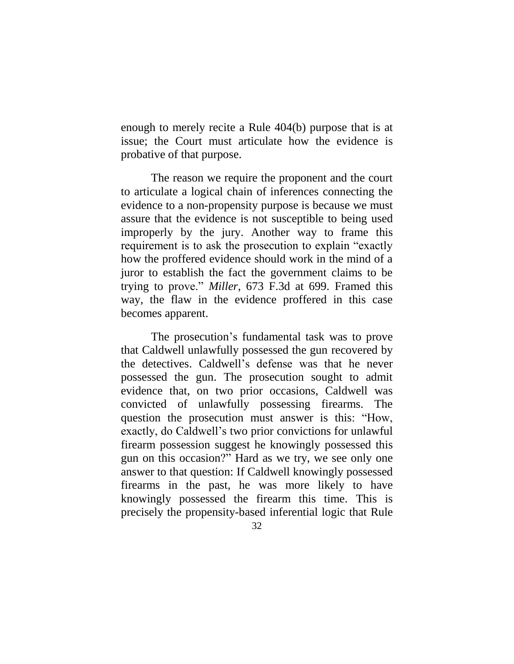enough to merely recite a Rule 404(b) purpose that is at issue; the Court must articulate how the evidence is probative of that purpose.

The reason we require the proponent and the court to articulate a logical chain of inferences connecting the evidence to a non-propensity purpose is because we must assure that the evidence is not susceptible to being used improperly by the jury. Another way to frame this requirement is to ask the prosecution to explain "exactly how the proffered evidence should work in the mind of a juror to establish the fact the government claims to be trying to prove." *Miller*, 673 F.3d at 699. Framed this way, the flaw in the evidence proffered in this case becomes apparent.

The prosecution's fundamental task was to prove that Caldwell unlawfully possessed the gun recovered by the detectives. Caldwell's defense was that he never possessed the gun. The prosecution sought to admit evidence that, on two prior occasions, Caldwell was convicted of unlawfully possessing firearms. The question the prosecution must answer is this: "How, exactly, do Caldwell's two prior convictions for unlawful firearm possession suggest he knowingly possessed this gun on this occasion?" Hard as we try, we see only one answer to that question: If Caldwell knowingly possessed firearms in the past, he was more likely to have knowingly possessed the firearm this time. This is precisely the propensity-based inferential logic that Rule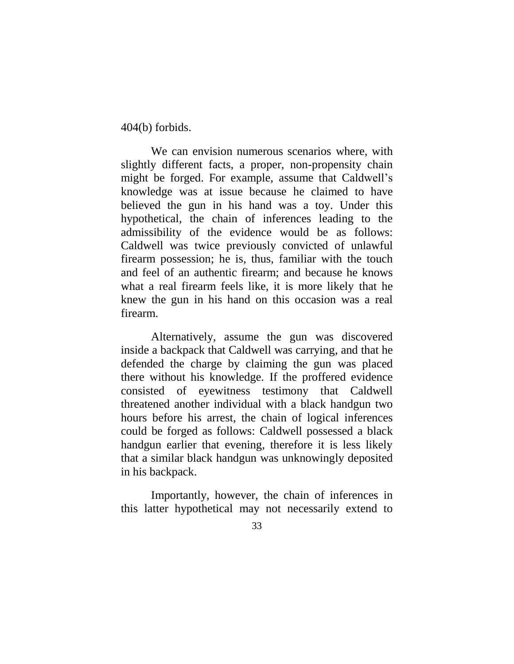404(b) forbids.

We can envision numerous scenarios where, with slightly different facts, a proper, non-propensity chain might be forged. For example, assume that Caldwell's knowledge was at issue because he claimed to have believed the gun in his hand was a toy. Under this hypothetical, the chain of inferences leading to the admissibility of the evidence would be as follows: Caldwell was twice previously convicted of unlawful firearm possession; he is, thus, familiar with the touch and feel of an authentic firearm; and because he knows what a real firearm feels like, it is more likely that he knew the gun in his hand on this occasion was a real firearm.

Alternatively, assume the gun was discovered inside a backpack that Caldwell was carrying, and that he defended the charge by claiming the gun was placed there without his knowledge. If the proffered evidence consisted of eyewitness testimony that Caldwell threatened another individual with a black handgun two hours before his arrest, the chain of logical inferences could be forged as follows: Caldwell possessed a black handgun earlier that evening, therefore it is less likely that a similar black handgun was unknowingly deposited in his backpack.

Importantly, however, the chain of inferences in this latter hypothetical may not necessarily extend to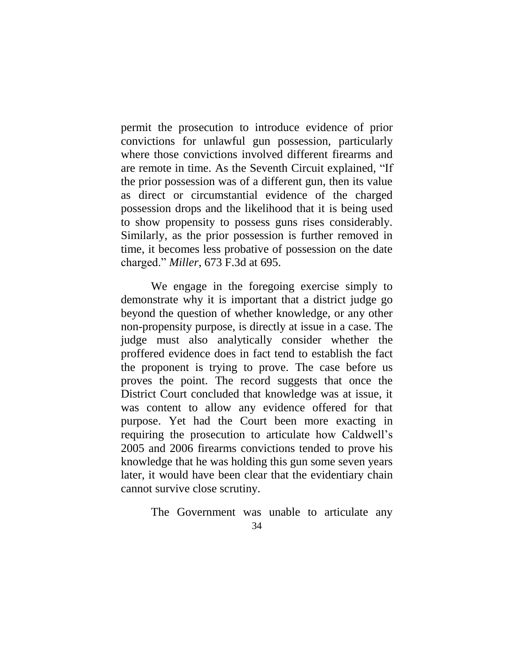permit the prosecution to introduce evidence of prior convictions for unlawful gun possession, particularly where those convictions involved different firearms and are remote in time. As the Seventh Circuit explained, "If the prior possession was of a different gun, then its value as direct or circumstantial evidence of the charged possession drops and the likelihood that it is being used to show propensity to possess guns rises considerably. Similarly, as the prior possession is further removed in time, it becomes less probative of possession on the date charged." *Miller*, 673 F.3d at 695.

We engage in the foregoing exercise simply to demonstrate why it is important that a district judge go beyond the question of whether knowledge, or any other non-propensity purpose, is directly at issue in a case. The judge must also analytically consider whether the proffered evidence does in fact tend to establish the fact the proponent is trying to prove. The case before us proves the point. The record suggests that once the District Court concluded that knowledge was at issue, it was content to allow any evidence offered for that purpose. Yet had the Court been more exacting in requiring the prosecution to articulate how Caldwell's 2005 and 2006 firearms convictions tended to prove his knowledge that he was holding this gun some seven years later, it would have been clear that the evidentiary chain cannot survive close scrutiny.

The Government was unable to articulate any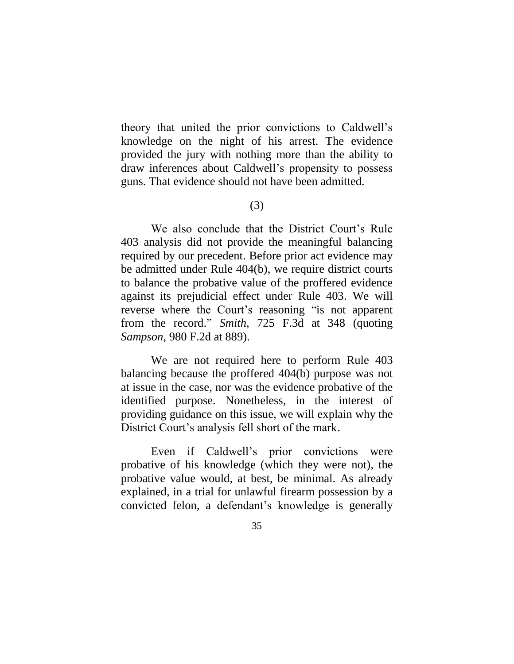theory that united the prior convictions to Caldwell's knowledge on the night of his arrest. The evidence provided the jury with nothing more than the ability to draw inferences about Caldwell's propensity to possess guns. That evidence should not have been admitted.

(3)

We also conclude that the District Court's Rule 403 analysis did not provide the meaningful balancing required by our precedent. Before prior act evidence may be admitted under Rule 404(b), we require district courts to balance the probative value of the proffered evidence against its prejudicial effect under Rule 403. We will reverse where the Court's reasoning "is not apparent from the record." *Smith*, 725 F.3d at 348 (quoting *Sampson*, 980 F.2d at 889).

We are not required here to perform Rule 403 balancing because the proffered 404(b) purpose was not at issue in the case, nor was the evidence probative of the identified purpose. Nonetheless, in the interest of providing guidance on this issue, we will explain why the District Court's analysis fell short of the mark.

Even if Caldwell's prior convictions were probative of his knowledge (which they were not), the probative value would, at best, be minimal. As already explained, in a trial for unlawful firearm possession by a convicted felon, a defendant's knowledge is generally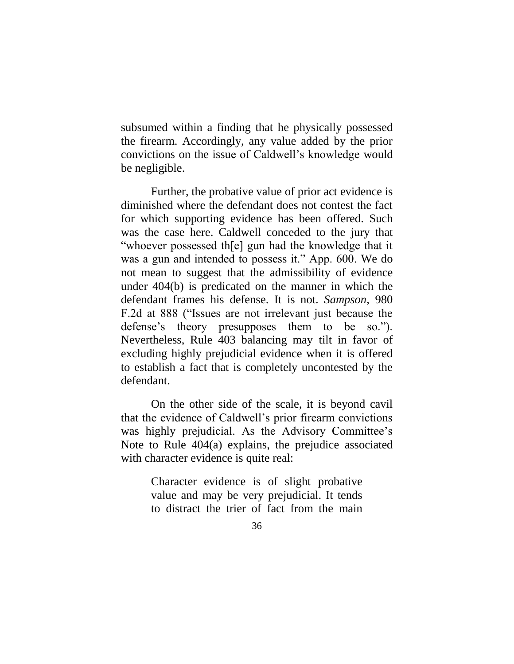subsumed within a finding that he physically possessed the firearm. Accordingly, any value added by the prior convictions on the issue of Caldwell's knowledge would be negligible.

Further, the probative value of prior act evidence is diminished where the defendant does not contest the fact for which supporting evidence has been offered. Such was the case here. Caldwell conceded to the jury that "whoever possessed th[e] gun had the knowledge that it was a gun and intended to possess it." App. 600. We do not mean to suggest that the admissibility of evidence under 404(b) is predicated on the manner in which the defendant frames his defense. It is not. *Sampson*, 980 F.2d at 888 ("Issues are not irrelevant just because the defense's theory presupposes them to be so."). Nevertheless, Rule 403 balancing may tilt in favor of excluding highly prejudicial evidence when it is offered to establish a fact that is completely uncontested by the defendant.

On the other side of the scale, it is beyond cavil that the evidence of Caldwell's prior firearm convictions was highly prejudicial. As the Advisory Committee's Note to Rule 404(a) explains, the prejudice associated with character evidence is quite real:

> Character evidence is of slight probative value and may be very prejudicial. It tends to distract the trier of fact from the main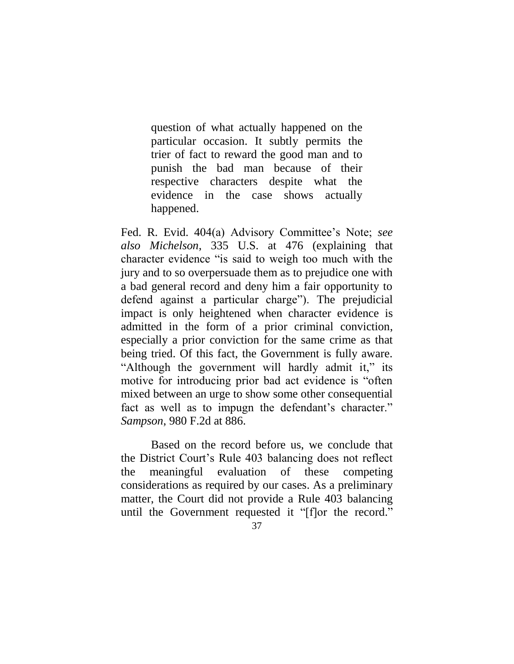question of what actually happened on the particular occasion. It subtly permits the trier of fact to reward the good man and to punish the bad man because of their respective characters despite what the evidence in the case shows actually happened.

Fed. R. Evid. 404(a) Advisory Committee's Note; *see also Michelson*, 335 U.S. at 476 (explaining that character evidence "is said to weigh too much with the jury and to so overpersuade them as to prejudice one with a bad general record and deny him a fair opportunity to defend against a particular charge"). The prejudicial impact is only heightened when character evidence is admitted in the form of a prior criminal conviction, especially a prior conviction for the same crime as that being tried. Of this fact, the Government is fully aware. "Although the government will hardly admit it," its motive for introducing prior bad act evidence is "often mixed between an urge to show some other consequential fact as well as to impugn the defendant's character." *Sampson*, 980 F.2d at 886.

Based on the record before us, we conclude that the District Court's Rule 403 balancing does not reflect the meaningful evaluation of these competing considerations as required by our cases. As a preliminary matter, the Court did not provide a Rule 403 balancing until the Government requested it "[f]or the record."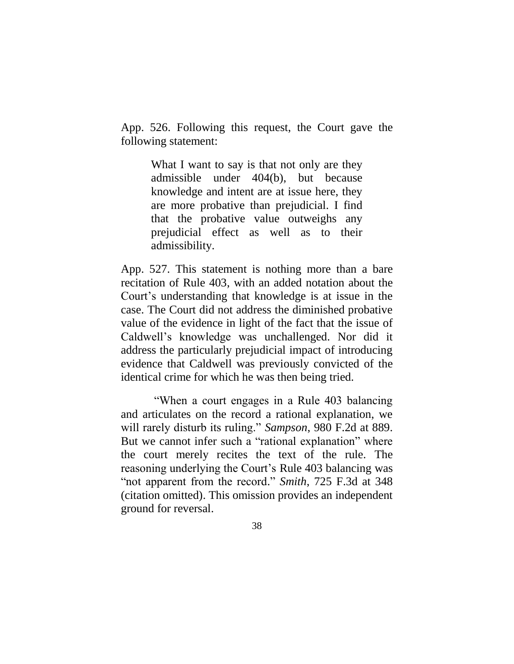App. 526. Following this request, the Court gave the following statement:

> What I want to say is that not only are they admissible under 404(b), but because knowledge and intent are at issue here, they are more probative than prejudicial. I find that the probative value outweighs any prejudicial effect as well as to their admissibility.

App. 527. This statement is nothing more than a bare recitation of Rule 403, with an added notation about the Court's understanding that knowledge is at issue in the case. The Court did not address the diminished probative value of the evidence in light of the fact that the issue of Caldwell's knowledge was unchallenged. Nor did it address the particularly prejudicial impact of introducing evidence that Caldwell was previously convicted of the identical crime for which he was then being tried.

"When a court engages in a Rule 403 balancing and articulates on the record a rational explanation, we will rarely disturb its ruling." *Sampson*, 980 F.2d at 889. But we cannot infer such a "rational explanation" where the court merely recites the text of the rule. The reasoning underlying the Court's Rule 403 balancing was "not apparent from the record." *Smith*, 725 F.3d at 348 (citation omitted). This omission provides an independent ground for reversal.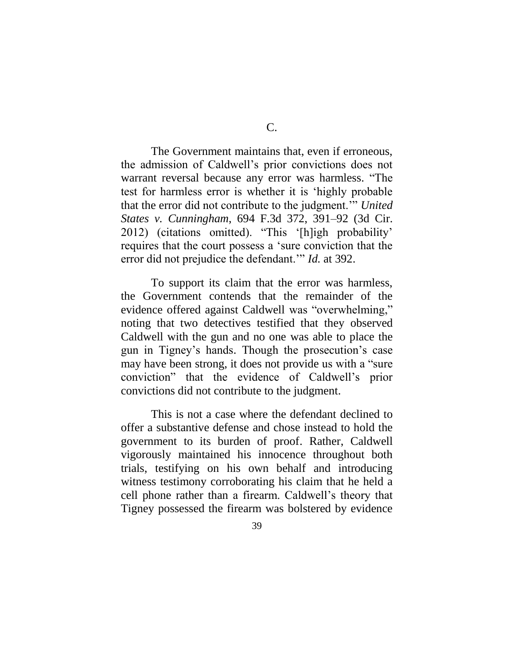C.

The Government maintains that, even if erroneous, the admission of Caldwell's prior convictions does not warrant reversal because any error was harmless. "The test for harmless error is whether it is 'highly probable that the error did not contribute to the judgment.'" *United States v. Cunningham*, 694 F.3d 372, 391–92 (3d Cir. 2012) (citations omitted). "This '[h]igh probability' requires that the court possess a 'sure conviction that the error did not prejudice the defendant.'" *Id.* at 392.

To support its claim that the error was harmless, the Government contends that the remainder of the evidence offered against Caldwell was "overwhelming," noting that two detectives testified that they observed Caldwell with the gun and no one was able to place the gun in Tigney's hands. Though the prosecution's case may have been strong, it does not provide us with a "sure conviction" that the evidence of Caldwell's prior convictions did not contribute to the judgment.

This is not a case where the defendant declined to offer a substantive defense and chose instead to hold the government to its burden of proof. Rather, Caldwell vigorously maintained his innocence throughout both trials, testifying on his own behalf and introducing witness testimony corroborating his claim that he held a cell phone rather than a firearm. Caldwell's theory that Tigney possessed the firearm was bolstered by evidence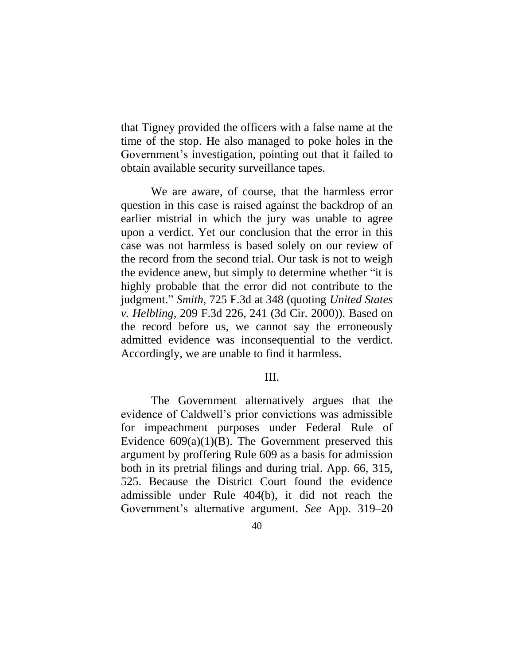that Tigney provided the officers with a false name at the time of the stop. He also managed to poke holes in the Government's investigation, pointing out that it failed to obtain available security surveillance tapes.

We are aware, of course, that the harmless error question in this case is raised against the backdrop of an earlier mistrial in which the jury was unable to agree upon a verdict. Yet our conclusion that the error in this case was not harmless is based solely on our review of the record from the second trial. Our task is not to weigh the evidence anew, but simply to determine whether "it is highly probable that the error did not contribute to the judgment." *Smith*, 725 F.3d at 348 (quoting *United States v. Helbling*, 209 F.3d 226, 241 (3d Cir. 2000)). Based on the record before us, we cannot say the erroneously admitted evidence was inconsequential to the verdict. Accordingly, we are unable to find it harmless.

### III.

The Government alternatively argues that the evidence of Caldwell's prior convictions was admissible for impeachment purposes under Federal Rule of Evidence  $609(a)(1)(B)$ . The Government preserved this argument by proffering Rule 609 as a basis for admission both in its pretrial filings and during trial. App. 66, 315, 525. Because the District Court found the evidence admissible under Rule 404(b), it did not reach the Government's alternative argument. *See* App. 319–20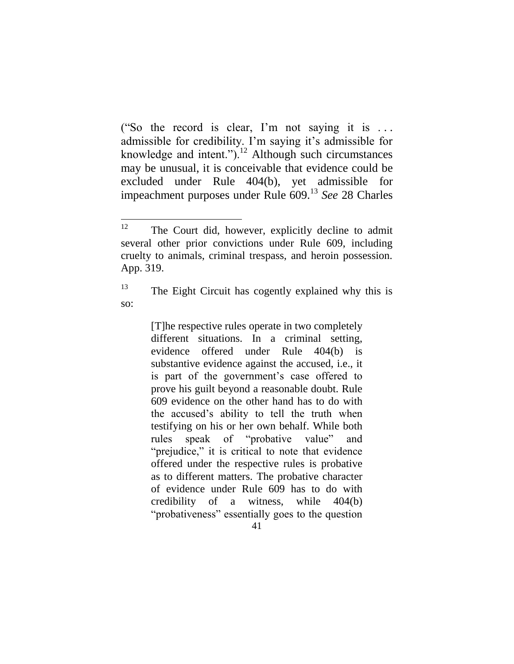("So the record is clear, I'm not saying it is . . . admissible for credibility. I'm saying it's admissible for knowledge and intent.").<sup>12</sup> Although such circumstances may be unusual, it is conceivable that evidence could be excluded under Rule 404(b), yet admissible for impeachment purposes under Rule 609.<sup>13</sup> *See* 28 Charles

[T]he respective rules operate in two completely different situations. In a criminal setting, evidence offered under Rule 404(b) is substantive evidence against the accused, i.e., it is part of the government's case offered to prove his guilt beyond a reasonable doubt. Rule 609 evidence on the other hand has to do with the accused's ability to tell the truth when testifying on his or her own behalf. While both rules speak of "probative value" and "prejudice," it is critical to note that evidence offered under the respective rules is probative as to different matters. The probative character of evidence under Rule 609 has to do with credibility of a witness, while 404(b) "probativeness" essentially goes to the question

 $12$ The Court did, however, explicitly decline to admit several other prior convictions under Rule 609, including cruelty to animals, criminal trespass, and heroin possession. App. 319.

 $13$  The Eight Circuit has cogently explained why this is so: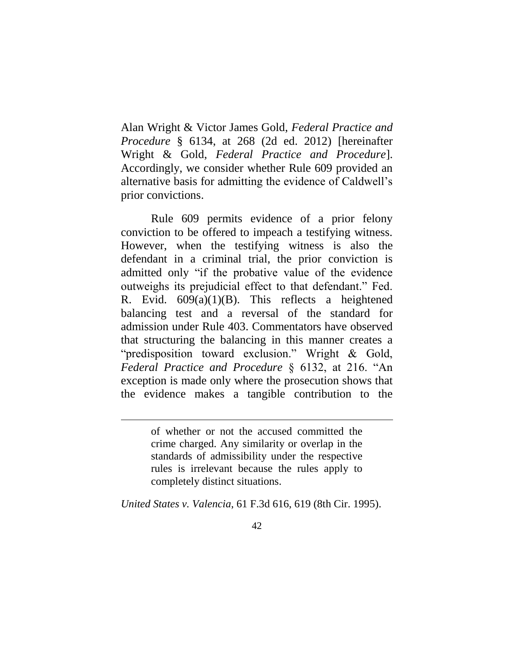Alan Wright & Victor James Gold, *Federal Practice and Procedure* § 6134, at 268 (2d ed. 2012) [hereinafter Wright & Gold, *Federal Practice and Procedure*]. Accordingly, we consider whether Rule 609 provided an alternative basis for admitting the evidence of Caldwell's prior convictions.

Rule 609 permits evidence of a prior felony conviction to be offered to impeach a testifying witness. However, when the testifying witness is also the defendant in a criminal trial, the prior conviction is admitted only "if the probative value of the evidence outweighs its prejudicial effect to that defendant." Fed. R. Evid.  $609(a)(1)(B)$ . This reflects a heightened balancing test and a reversal of the standard for admission under Rule 403. Commentators have observed that structuring the balancing in this manner creates a "predisposition toward exclusion." Wright & Gold, *Federal Practice and Procedure* § 6132, at 216. "An exception is made only where the prosecution shows that the evidence makes a tangible contribution to the

> of whether or not the accused committed the crime charged. Any similarity or overlap in the standards of admissibility under the respective rules is irrelevant because the rules apply to completely distinct situations.

 $\overline{a}$ 

*United States v. Valencia*, 61 F.3d 616, 619 (8th Cir. 1995).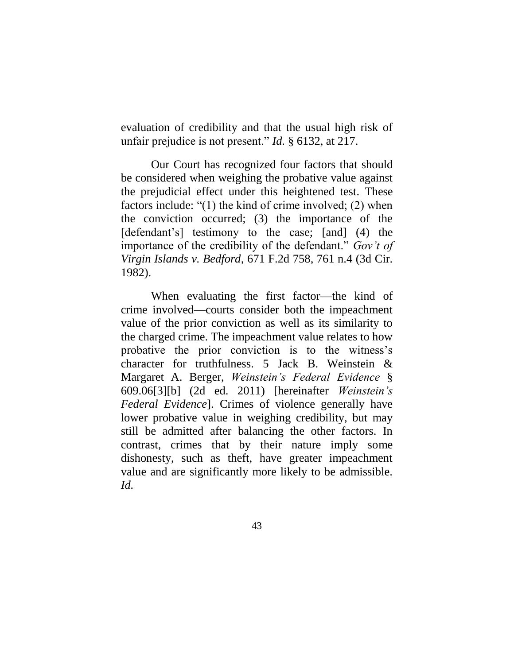evaluation of credibility and that the usual high risk of unfair prejudice is not present." *Id.* § 6132, at 217.

Our Court has recognized four factors that should be considered when weighing the probative value against the prejudicial effect under this heightened test. These factors include: "(1) the kind of crime involved; (2) when the conviction occurred; (3) the importance of the [defendant's] testimony to the case; [and] (4) the importance of the credibility of the defendant." *Gov't of Virgin Islands v. Bedford*, 671 F.2d 758, 761 n.4 (3d Cir. 1982).

When evaluating the first factor—the kind of crime involved—courts consider both the impeachment value of the prior conviction as well as its similarity to the charged crime. The impeachment value relates to how probative the prior conviction is to the witness's character for truthfulness. 5 Jack B. Weinstein & Margaret A. Berger, *Weinstein's Federal Evidence* § 609.06[3][b] (2d ed. 2011) [hereinafter *Weinstein's Federal Evidence*]. Crimes of violence generally have lower probative value in weighing credibility, but may still be admitted after balancing the other factors. In contrast, crimes that by their nature imply some dishonesty, such as theft, have greater impeachment value and are significantly more likely to be admissible. *Id.*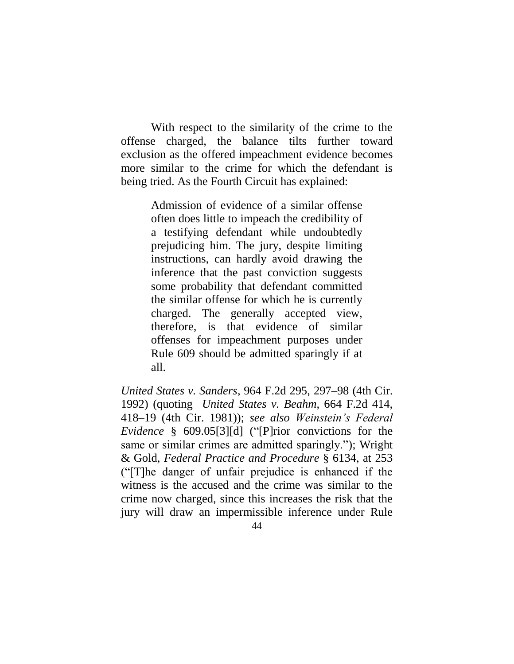With respect to the similarity of the crime to the offense charged, the balance tilts further toward exclusion as the offered impeachment evidence becomes more similar to the crime for which the defendant is being tried. As the Fourth Circuit has explained:

> Admission of evidence of a similar offense often does little to impeach the credibility of a testifying defendant while undoubtedly prejudicing him. The jury, despite limiting instructions, can hardly avoid drawing the inference that the past conviction suggests some probability that defendant committed the similar offense for which he is currently charged. The generally accepted view, therefore, is that evidence of similar offenses for impeachment purposes under Rule 609 should be admitted sparingly if at all.

*United States v. Sanders*, 964 F.2d 295, 297–98 (4th Cir. 1992) (quoting *United States v. Beahm*, 664 F.2d 414, 418–19 (4th Cir. 1981)); *see also Weinstein's Federal Evidence* § 609.05[3][d] ("[P]rior convictions for the same or similar crimes are admitted sparingly."); Wright & Gold, *Federal Practice and Procedure* § 6134, at 253 ("[T]he danger of unfair prejudice is enhanced if the witness is the accused and the crime was similar to the crime now charged, since this increases the risk that the jury will draw an impermissible inference under Rule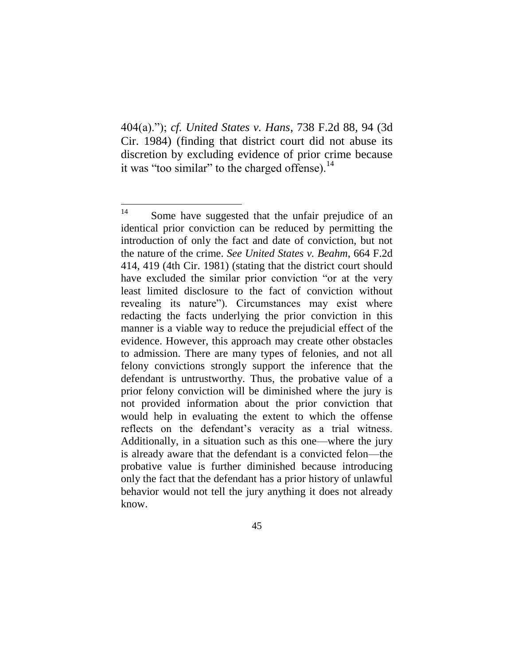404(a)."); *cf. United States v. Hans*, 738 F.2d 88, 94 (3d Cir. 1984) (finding that district court did not abuse its discretion by excluding evidence of prior crime because it was "too similar" to the charged offense). $^{14}$ 

 $14$ Some have suggested that the unfair prejudice of an identical prior conviction can be reduced by permitting the introduction of only the fact and date of conviction, but not the nature of the crime. *See United States v. Beahm*, 664 F.2d 414, 419 (4th Cir. 1981) (stating that the district court should have excluded the similar prior conviction "or at the very least limited disclosure to the fact of conviction without revealing its nature"). Circumstances may exist where redacting the facts underlying the prior conviction in this manner is a viable way to reduce the prejudicial effect of the evidence. However, this approach may create other obstacles to admission. There are many types of felonies, and not all felony convictions strongly support the inference that the defendant is untrustworthy. Thus, the probative value of a prior felony conviction will be diminished where the jury is not provided information about the prior conviction that would help in evaluating the extent to which the offense reflects on the defendant's veracity as a trial witness. Additionally, in a situation such as this one—where the jury is already aware that the defendant is a convicted felon—the probative value is further diminished because introducing only the fact that the defendant has a prior history of unlawful behavior would not tell the jury anything it does not already know.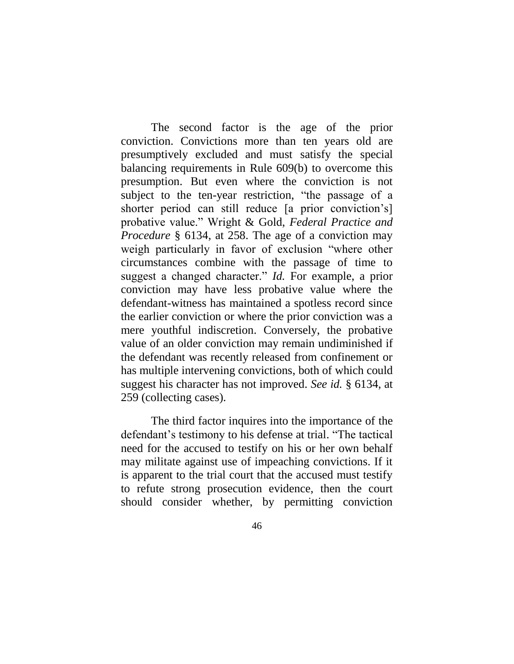The second factor is the age of the prior conviction. Convictions more than ten years old are presumptively excluded and must satisfy the special balancing requirements in Rule 609(b) to overcome this presumption. But even where the conviction is not subject to the ten-year restriction, "the passage of a shorter period can still reduce [a prior conviction's] probative value." Wright & Gold, *Federal Practice and Procedure* § 6134, at 258. The age of a conviction may weigh particularly in favor of exclusion "where other circumstances combine with the passage of time to suggest a changed character." *Id.* For example, a prior conviction may have less probative value where the defendant-witness has maintained a spotless record since the earlier conviction or where the prior conviction was a mere youthful indiscretion. Conversely, the probative value of an older conviction may remain undiminished if the defendant was recently released from confinement or has multiple intervening convictions, both of which could suggest his character has not improved. *See id.* § 6134, at 259 (collecting cases).

The third factor inquires into the importance of the defendant's testimony to his defense at trial. "The tactical need for the accused to testify on his or her own behalf may militate against use of impeaching convictions. If it is apparent to the trial court that the accused must testify to refute strong prosecution evidence, then the court should consider whether, by permitting conviction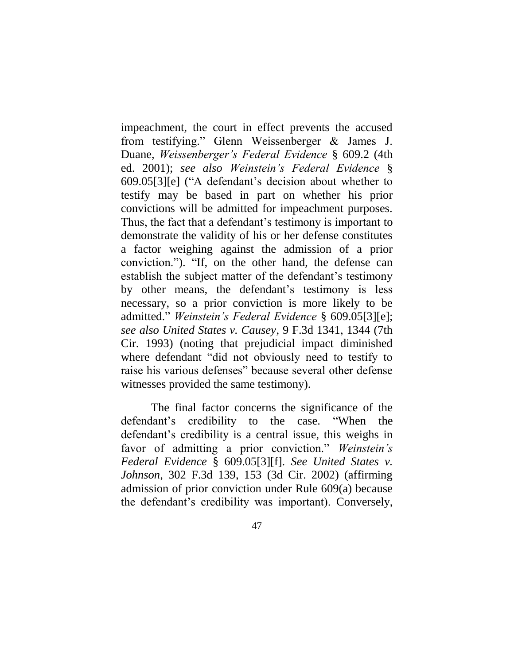impeachment, the court in effect prevents the accused from testifying." Glenn Weissenberger & James J. Duane, *Weissenberger's Federal Evidence* § 609.2 (4th ed. 2001); *see also Weinstein's Federal Evidence* § 609.05[3][e] ("A defendant's decision about whether to testify may be based in part on whether his prior convictions will be admitted for impeachment purposes. Thus, the fact that a defendant's testimony is important to demonstrate the validity of his or her defense constitutes a factor weighing against the admission of a prior conviction."). "If, on the other hand, the defense can establish the subject matter of the defendant's testimony by other means, the defendant's testimony is less necessary, so a prior conviction is more likely to be admitted." *Weinstein's Federal Evidence* § 609.05[3][e]; *see also United States v. Causey*, 9 F.3d 1341, 1344 (7th Cir. 1993) (noting that prejudicial impact diminished where defendant "did not obviously need to testify to raise his various defenses" because several other defense witnesses provided the same testimony).

The final factor concerns the significance of the defendant's credibility to the case. "When the defendant's credibility is a central issue, this weighs in favor of admitting a prior conviction." *Weinstein's Federal Evidence* § 609.05[3][f]. *See United States v. Johnson*, 302 F.3d 139, 153 (3d Cir. 2002) (affirming admission of prior conviction under Rule 609(a) because the defendant's credibility was important). Conversely,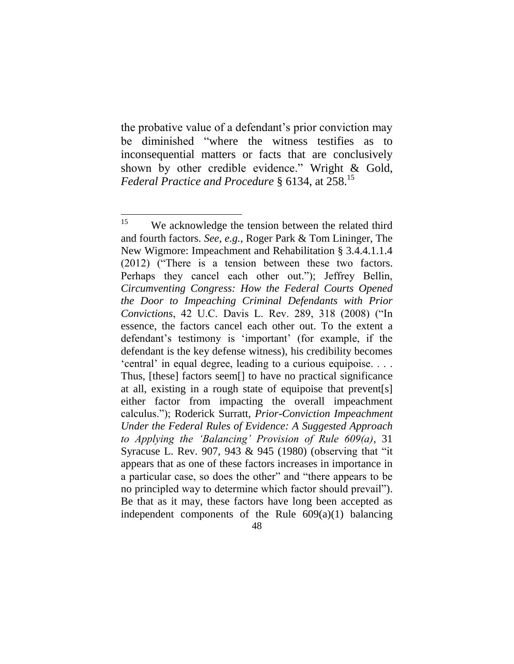the probative value of a defendant's prior conviction may be diminished "where the witness testifies as to inconsequential matters or facts that are conclusively shown by other credible evidence." Wright & Gold, *Federal Practice and Procedure* § 6134, at 258. 15

<sup>15</sup> We acknowledge the tension between the related third and fourth factors. *See, e.g.*, Roger Park & Tom Lininger, The New Wigmore: Impeachment and Rehabilitation § 3.4.4.1.1.4 (2012) ("There is a tension between these two factors. Perhaps they cancel each other out."); Jeffrey Bellin, *Circumventing Congress: How the Federal Courts Opened the Door to Impeaching Criminal Defendants with Prior Convictions*, 42 U.C. Davis L. Rev. 289, 318 (2008) ("In essence, the factors cancel each other out. To the extent a defendant's testimony is 'important' (for example, if the defendant is the key defense witness), his credibility becomes 'central' in equal degree, leading to a curious equipoise. . . . Thus, [these] factors seem[] to have no practical significance at all, existing in a rough state of equipoise that prevent[s] either factor from impacting the overall impeachment calculus."); Roderick Surratt, *Prior-Conviction Impeachment Under the Federal Rules of Evidence: A Suggested Approach to Applying the 'Balancing' Provision of Rule 609(a)*, 31 Syracuse L. Rev. 907, 943 & 945 (1980) (observing that "it appears that as one of these factors increases in importance in a particular case, so does the other" and "there appears to be no principled way to determine which factor should prevail"). Be that as it may, these factors have long been accepted as independent components of the Rule  $609(a)(1)$  balancing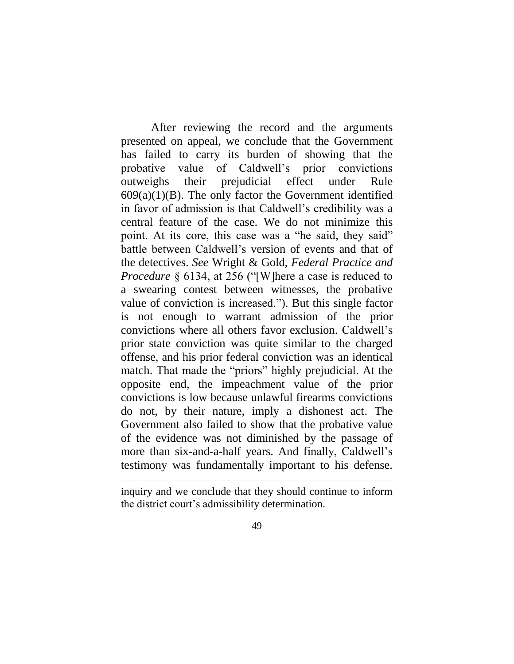After reviewing the record and the arguments presented on appeal, we conclude that the Government has failed to carry its burden of showing that the probative value of Caldwell's prior convictions outweighs their prejudicial effect under Rule  $609(a)(1)(B)$ . The only factor the Government identified in favor of admission is that Caldwell's credibility was a central feature of the case. We do not minimize this point. At its core, this case was a "he said, they said" battle between Caldwell's version of events and that of the detectives. *See* Wright & Gold, *Federal Practice and Procedure* § 6134, at 256 ("[W]here a case is reduced to a swearing contest between witnesses, the probative value of conviction is increased."). But this single factor is not enough to warrant admission of the prior convictions where all others favor exclusion. Caldwell's prior state conviction was quite similar to the charged offense, and his prior federal conviction was an identical match. That made the "priors" highly prejudicial. At the opposite end, the impeachment value of the prior convictions is low because unlawful firearms convictions do not, by their nature, imply a dishonest act. The Government also failed to show that the probative value of the evidence was not diminished by the passage of more than six-and-a-half years. And finally, Caldwell's testimony was fundamentally important to his defense.

 $\overline{a}$ 

inquiry and we conclude that they should continue to inform the district court's admissibility determination.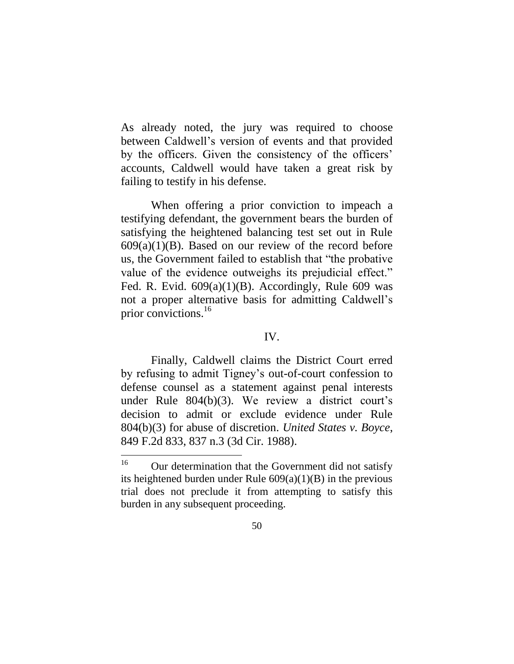As already noted, the jury was required to choose between Caldwell's version of events and that provided by the officers. Given the consistency of the officers' accounts, Caldwell would have taken a great risk by failing to testify in his defense.

When offering a prior conviction to impeach a testifying defendant, the government bears the burden of satisfying the heightened balancing test set out in Rule  $609(a)(1)(B)$ . Based on our review of the record before us, the Government failed to establish that "the probative value of the evidence outweighs its prejudicial effect." Fed. R. Evid.  $609(a)(1)(B)$ . Accordingly, Rule 609 was not a proper alternative basis for admitting Caldwell's prior convictions.<sup>16</sup>

### IV.

Finally, Caldwell claims the District Court erred by refusing to admit Tigney's out-of-court confession to defense counsel as a statement against penal interests under Rule 804(b)(3). We review a district court's decision to admit or exclude evidence under Rule 804(b)(3) for abuse of discretion. *United States v. Boyce*, 849 F.2d 833, 837 n.3 (3d Cir. 1988).

<sup>16</sup> Our determination that the Government did not satisfy its heightened burden under Rule  $609(a)(1)(B)$  in the previous trial does not preclude it from attempting to satisfy this burden in any subsequent proceeding.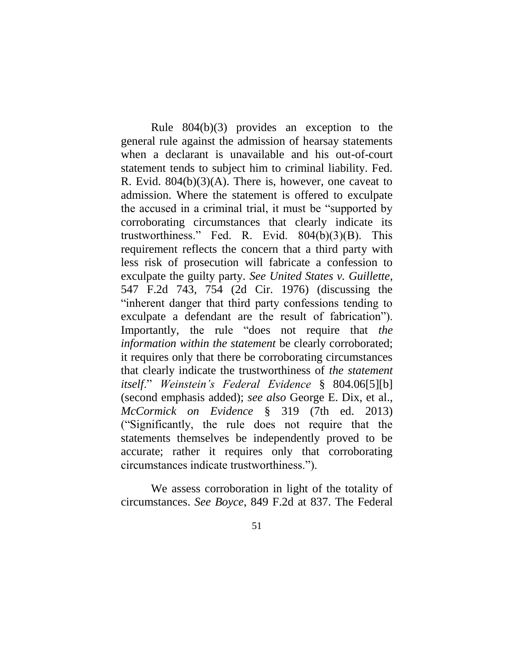Rule 804(b)(3) provides an exception to the general rule against the admission of hearsay statements when a declarant is unavailable and his out-of-court statement tends to subject him to criminal liability. Fed. R. Evid.  $804(b)(3)(A)$ . There is, however, one caveat to admission. Where the statement is offered to exculpate the accused in a criminal trial, it must be "supported by corroborating circumstances that clearly indicate its trustworthiness." Fed. R. Evid. 804(b)(3)(B). This requirement reflects the concern that a third party with less risk of prosecution will fabricate a confession to exculpate the guilty party. *See United States v. Guillette*, 547 F.2d 743, 754 (2d Cir. 1976) (discussing the "inherent danger that third party confessions tending to exculpate a defendant are the result of fabrication"). Importantly, the rule "does not require that *the information within the statement* be clearly corroborated; it requires only that there be corroborating circumstances that clearly indicate the trustworthiness of *the statement itself*." *Weinstein's Federal Evidence* § 804.06[5][b] (second emphasis added); *see also* George E. Dix, et al., *McCormick on Evidence* § 319 (7th ed. 2013) ("Significantly, the rule does not require that the statements themselves be independently proved to be accurate; rather it requires only that corroborating circumstances indicate trustworthiness.").

We assess corroboration in light of the totality of circumstances. *See Boyce*, 849 F.2d at 837. The Federal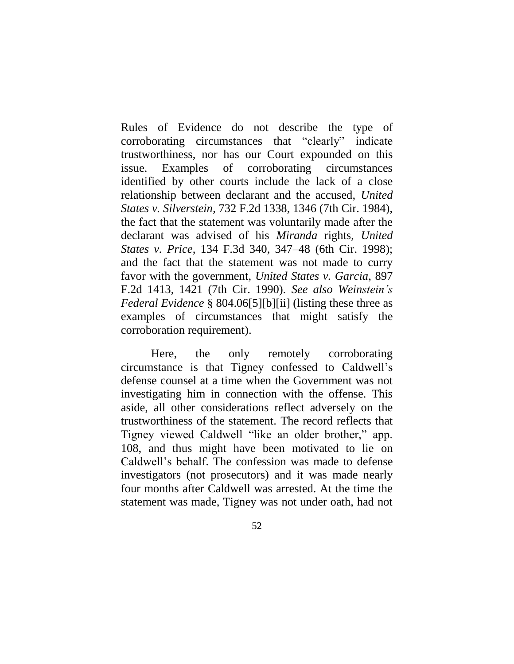Rules of Evidence do not describe the type of corroborating circumstances that "clearly" indicate trustworthiness, nor has our Court expounded on this issue. Examples of corroborating circumstances identified by other courts include the lack of a close relationship between declarant and the accused, *United States v. Silverstein*, 732 F.2d 1338, 1346 (7th Cir. 1984), the fact that the statement was voluntarily made after the declarant was advised of his *Miranda* rights, *United States v. Price*, 134 F.3d 340, 347–48 (6th Cir. 1998); and the fact that the statement was not made to curry favor with the government, *United States v. Garcia*, 897 F.2d 1413, 1421 (7th Cir. 1990). *See also Weinstein's Federal Evidence* § 804.06[5][b][ii] (listing these three as examples of circumstances that might satisfy the corroboration requirement).

Here, the only remotely corroborating circumstance is that Tigney confessed to Caldwell's defense counsel at a time when the Government was not investigating him in connection with the offense. This aside, all other considerations reflect adversely on the trustworthiness of the statement. The record reflects that Tigney viewed Caldwell "like an older brother," app. 108, and thus might have been motivated to lie on Caldwell's behalf. The confession was made to defense investigators (not prosecutors) and it was made nearly four months after Caldwell was arrested. At the time the statement was made, Tigney was not under oath, had not